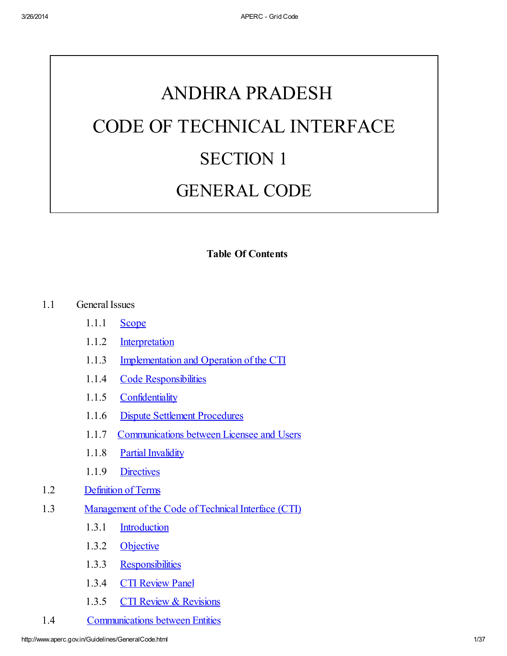# ANDHRA PRADESH CODE OF TECHNICAL INTERFACE SECTION 1 GENERAL CODE

#### Table Of Contents

#### 1.1 General Issues

- 1.1.1 **Scope**
- 1.1.2 Interpretation
- 1.1.3 Implementation and Operation of the CTI
- 1.1.4 Code Responsibilities
- 1.1.5 Confidentiality
- 1.1.6 Dispute Settlement Procedures
- 1.1.7 Communications between Licensee and Users
- 1.1.8 Partial Invalidity
- 1.1.9 Directives
- 1.2 Definition of Terms
- 1.3 Management of the Code of Technical Interface (CTI)
	- 1.3.1 Introduction
	- 1.3.2 [Objective](#page-29-0)
	- 1.3.3 Responsibilities
	- 1.3.4 CTI [Review](#page-29-1) Panel
	- 1.3.5 CTI Review & Revisions
- 1.4 [Communications](#page-31-0) between Entities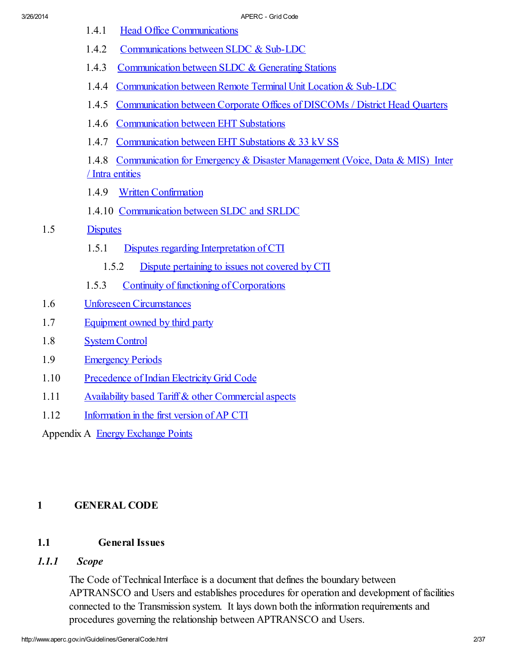| 1.4.1 Head Office Communications |
|----------------------------------|
|                                  |

- 1.4.2 Communications between SLDC & Sub-LDC
- 1.4.3 Communication between SLDC & Generating Stations
- 1.4.4 Communication between Remote Terminal Unit Location & Sub-LDC
- 1.4.5 Communication between Corporate Offices of DISCOMs / District Head Quarters
- 1.4.6 Communication between EHT Substations
- 1.4.7 Communication between EHT Substations & 33 kV SS
- 1.4.8 Communication for Emergency & Disaster Management (Voice, Data & MIS) Inter / Intra entities
- 1.4.9 Written Confirmation
- 1.4.10 Communication between SLDC and SRLDC

### 1.5 Disputes

- 1.5.1 Disputes regarding Interpretation of CTI
	- 1.5.2 Dispute pertaining to issues not covered by CTI
- 1.5.3 Continuity of functioning of Corporations
- 1.6 Unforeseen Circumstances
- 1.7 Equipment owned by third party
- 1.8 System Control
- 1.9 Emergency Periods
- 1.10 Precedence of Indian Electricity Grid Code
- 1.11 Availability based Tariff & other Commercial aspects
- 1.12 Information in the first version of AP CTI

Appendix A Energy Exchange Points

# 1 GENERAL CODE

# 1.1 General Issues

# *1.1.1 Scope*

The Code of Technical Interface is a document that defines the boundary between APTRANSCO and Users and establishes procedures for operation and development of facilities connected to the Transmission system. It lays down both the information requirements and procedures governing the relationship between APTRANSCO and Users.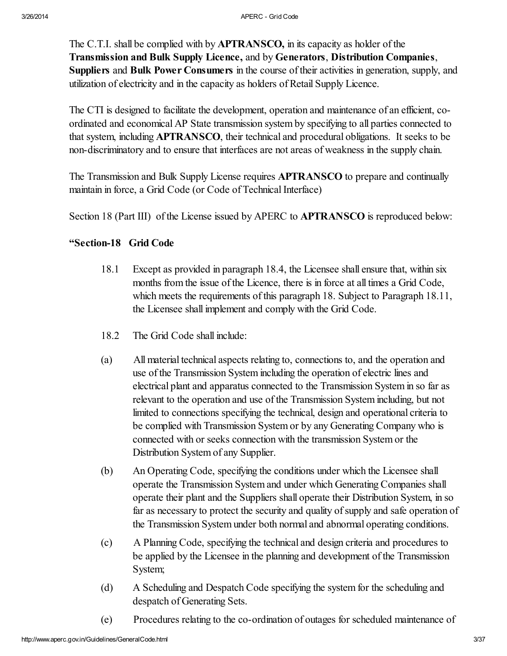The C.T.I. shall be complied with by APTRANSCO, in its capacity as holder of the Transmission and Bulk Supply Licence, and by Generators, Distribution Companies, Suppliers and Bulk Power Consumers in the course of their activities in generation, supply, and utilization of electricity and in the capacity as holders of Retail Supply Licence.

The CTI is designed to facilitate the development, operation and maintenance of an efficient, coordinated and economical AP State transmission system by specifying to all parties connected to that system, including APTRANSCO, their technical and procedural obligations. It seeks to be non-discriminatory and to ensure that interfaces are not areas of weakness in the supply chain.

The Transmission and Bulk Supply License requires APTRANSCO to prepare and continually maintain in force, a Grid Code (or Code of Technical Interface)

Section 18 (Part III) of the License issued by APERC to **APTRANSCO** is reproduced below:

### "Section-18 Grid Code

- 18.1 Except as provided in paragraph 18.4, the Licensee shall ensure that, within six months from the issue of the Licence, there is in force at all times a Grid Code, which meets the requirements of this paragraph 18. Subject to Paragraph 18.11, the Licensee shall implement and comply with the Grid Code.
- 18.2 The Grid Code shall include:
- (a) All material technical aspects relating to, connections to, and the operation and use of the Transmission System including the operation of electric lines and electrical plant and apparatus connected to the Transmission System in so far as relevant to the operation and use of the Transmission System including, but not limited to connections specifying the technical, design and operational criteria to be complied with Transmission System or by any Generating Company who is connected with or seeks connection with the transmission System or the Distribution System of any Supplier.
- (b) An Operating Code, specifying the conditions under which the Licensee shall operate the Transmission System and under which Generating Companies shall operate their plant and the Suppliers shall operate their Distribution System, in so far as necessary to protect the security and quality of supply and safe operation of the Transmission System under both normal and abnormal operating conditions.
- (c) A Planning Code, specifying the technical and design criteria and procedures to be applied by the Licensee in the planning and development of the Transmission System;
- (d) A Scheduling and Despatch Code specifying the system for the scheduling and despatch of Generating Sets.
- (e) Procedures relating to the co-ordination of outages for scheduled maintenance of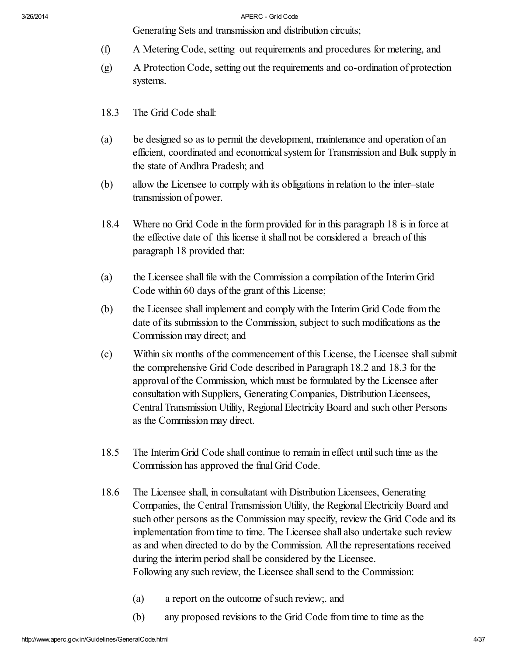Generating Sets and transmission and distribution circuits;

- (f) A Metering Code, setting out requirements and procedures for metering, and
- (g) A Protection Code, setting out the requirements and co-ordination of protection systems.
- 18.3 The Grid Code shall:
- (a) be designed so as to permit the development, maintenance and operation of an efficient, coordinated and economical system for Transmission and Bulk supply in the state of Andhra Pradesh; and
- (b) allow the Licensee to comply with its obligations in relation to the inter–state transmission of power.
- 18.4 Where no Grid Code in the form provided for in this paragraph 18 is in force at the effective date of this license it shall not be considered a breach of this paragraph 18 provided that:
- (a) the Licensee shall file with the Commission a compilation of the Interim Grid Code within 60 days of the grant of this License;
- (b) the Licensee shall implement and comply with the Interim Grid Code from the date of its submission to the Commission, subject to such modifications as the Commission may direct; and
- (c) Within six months of the commencement of this License, the Licensee shallsubmit the comprehensive Grid Code described in Paragraph 18.2 and 18.3 for the approval of the Commission, which must be formulated by the Licensee after consultation with Suppliers, Generating Companies, Distribution Licensees, Central Transmission Utility, Regional Electricity Board and such other Persons as the Commission may direct.
- 18.5 The Interim Grid Code shall continue to remain in effect untilsuch time as the Commission has approved the final Grid Code.
- 18.6 The Licensee shall, in consultatant with Distribution Licensees, Generating Companies, the Central Transmission Utility, the Regional Electricity Board and such other persons as the Commission may specify, review the Grid Code and its implementation from time to time. The Licensee shall also undertake such review as and when directed to do by the Commission. All the representations received during the interim period shall be considered by the Licensee. Following any such review, the Licensee shall send to the Commission:
	- (a) a report on the outcome of such review; and
	- (b) any proposed revisions to the Grid Code from time to time as the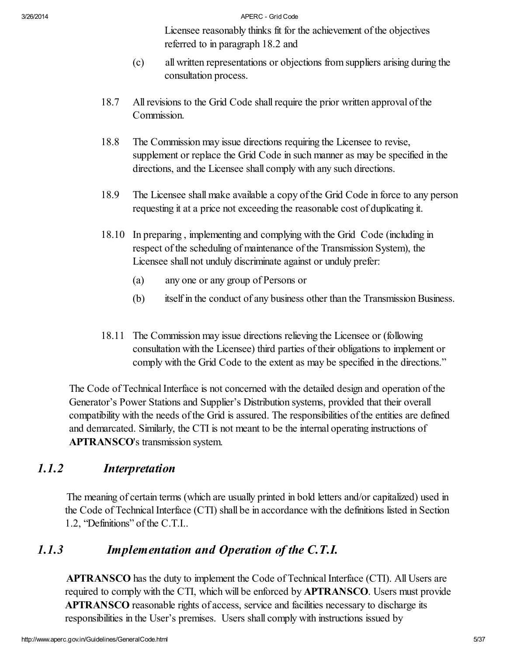Licensee reasonably thinks fit for the achievement of the objectives referred to in paragraph 18.2 and

- (c) all written representations or objections from suppliers arising during the consultation process.
- 18.7 Allrevisions to the Grid Code shallrequire the prior written approval of the **Commission**
- 18.8 The Commission may issue directions requiring the Licensee to revise, supplement or replace the Grid Code in such manner as may be specified in the directions, and the Licensee shall comply with any such directions.
- 18.9 The Licensee shall make available a copy of the Grid Code in force to any person requesting it at a price not exceeding the reasonable cost of duplicating it.
- 18.10 In preparing , implementing and complying with the Grid Code (including in respect of the scheduling of maintenance of the Transmission System), the Licensee shall not unduly discriminate against or unduly prefer:
	- (a) any one or any group of Persons or
	- (b) itself in the conduct of any business other than the Transmission Business.
- 18.11 The Commission may issue directions relieving the Licensee or (following consultation with the Licensee) third parties of their obligations to implement or comply with the Grid Code to the extent as may be specified in the directions."

The Code of Technical Interface is not concerned with the detailed design and operation of the Generator's Power Stations and Supplier's Distribution systems, provided that their overall compatibility with the needs of the Grid is assured. The responsibilities of the entities are defined and demarcated. Similarly, the CTI is not meant to be the internal operating instructions of APTRANSCO's transmission system.

# *1.1.2 Interpretation*

The meaning of certain terms (which are usually printed in bold letters and/or capitalized) used in the Code of Technical Interface (CTI) shall be in accordance with the definitions listed in Section 1.2, "Definitions" of the C.T.I..

# *1.1.3 Implementation and Operation of the C.T.I.*

APTRANSCO has the duty to implement the Code of Technical Interface (CTI). All Users are required to comply with the CTI, which will be enforced by **APTRANSCO**. Users must provide APTRANSCO reasonable rights of access, service and facilities necessary to discharge its responsibilities in the User's premises. Users shall comply with instructions issued by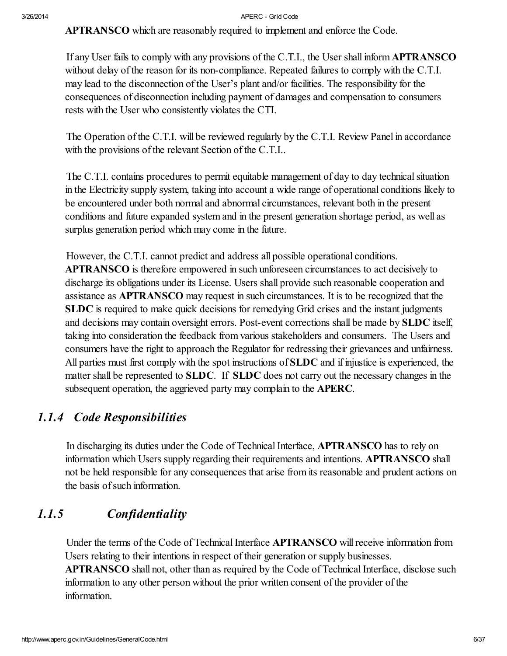APTRANSCO which are reasonably required to implement and enforce the Code.

If any User fails to comply with any provisions of the C.T.I., the User shall inform APTRANSCO without delay of the reason for its non-compliance. Repeated failures to comply with the C.T.I. may lead to the disconnection of the User's plant and/or facilities. The responsibility for the consequences of disconnection including payment of damages and compensation to consumers rests with the User who consistently violates the CTI.

The Operation of the C.T.I. will be reviewed regularly by the C.T.I. Review Panel in accordance with the provisions of the relevant Section of the C.T.I..

The C.T.I. contains procedures to permit equitable management of day to day technical situation in the Electricity supply system, taking into account a wide range of operational conditions likely to be encountered under both normal and abnormal circumstances, relevant both in the present conditions and future expanded system and in the present generation shortage period, as well as surplus generation period which may come in the future.

However, the C.T.I. cannot predict and address all possible operational conditions. APTRANSCO is therefore empowered in such unforeseen circumstances to act decisively to discharge its obligations under its License. Users shall provide such reasonable cooperation and assistance as APTRANSCO may request in such circumstances. It is to be recognized that the SLDC is required to make quick decisions for remedying Grid crises and the instant judgments and decisions may contain oversight errors. Post-event corrections shall be made by SLDC itself, taking into consideration the feedback from various stakeholders and consumers. The Users and consumers have the right to approach the Regulator for redressing their grievances and unfairness. All parties must first comply with the spot instructions of SLDC and if injustice is experienced, the matter shall be represented to SLDC. If SLDC does not carry out the necessary changes in the subsequent operation, the aggrieved party may complain to the APERC.

# *1.1.4 Code Responsibilities*

In discharging its duties under the Code of Technical Interface, **APTRANSCO** has to rely on information which Users supply regarding their requirements and intentions. APTRANSCO shall not be held responsible for any consequences that arise from its reasonable and prudent actions on the basis ofsuch information.

# *1.1.5 Confidentiality*

Under the terms of the Code of Technical Interface **APTRANSCO** will receive information from Users relating to their intentions in respect of their generation or supply businesses. APTRANSCO shall not, other than as required by the Code of Technical Interface, disclose such information to any other person without the prior written consent of the provider of the information.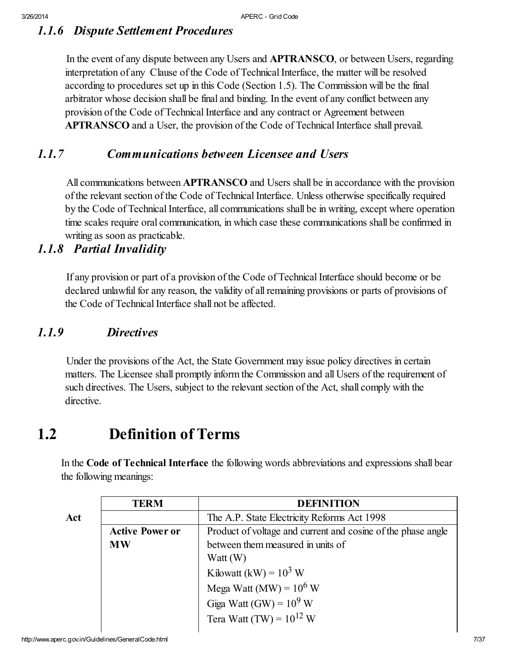# *1.1.6 Dispute Settlement Procedures*

In the event of any dispute between any Users and **APTRANSCO**, or between Users, regarding interpretation of any Clause of the Code of Technical Interface, the matter will be resolved according to procedures set up in this Code (Section 1.5). The Commission will be the final arbitrator whose decision shall be final and binding. In the event of any conflict between any provision of the Code of Technical Interface and any contract or Agreement between APTRANSCO and a User, the provision of the Code of Technical Interface shall prevail.

# *1.1.7 Communications between Licensee and Users*

All communications between **APTRANSCO** and Users shall be in accordance with the provision of the relevant section of the Code of TechnicalInterface. Unless otherwise specifically required by the Code of Technical Interface, all communications shall be in writing, except where operation time scales require oral communication, in which case these communications shall be confirmed in writing as soon as practicable.

# *1.1.8 Partial Invalidity*

If any provision or part of a provision of the Code of Technical Interface should become or be declared unlawful for any reason, the validity of all remaining provisions or parts of provisions of the Code of Technical Interface shall not be affected.

# *1.1.9 Directives*

Under the provisions of the Act, the State Government may issue policy directives in certain matters. The Licensee shall promptly inform the Commission and all Users of the requirement of such directives. The Users, subject to the relevant section of the Act, shall comply with the directive.

# 1.2 Definition of Terms

In the Code of Technical Interface the following words abbreviations and expressions shall bear the following meanings:

| <b>TERM</b>            | <b>DEFINITION</b>                                            |
|------------------------|--------------------------------------------------------------|
|                        | The A.P. State Electricity Reforms Act 1998                  |
| <b>Active Power or</b> | Product of voltage and current and cosine of the phase angle |
| <b>MW</b>              | between them measured in units of                            |
|                        | Watt $(W)$                                                   |
|                        | Kilowatt (kW) = $10^3$ W                                     |
|                        | Mega Watt (MW) = $10^6$ W<br>Giga Watt (GW) = $10^9$ W       |
|                        |                                                              |
|                        | Tera Watt $(TW) = 10^{12}$ W                                 |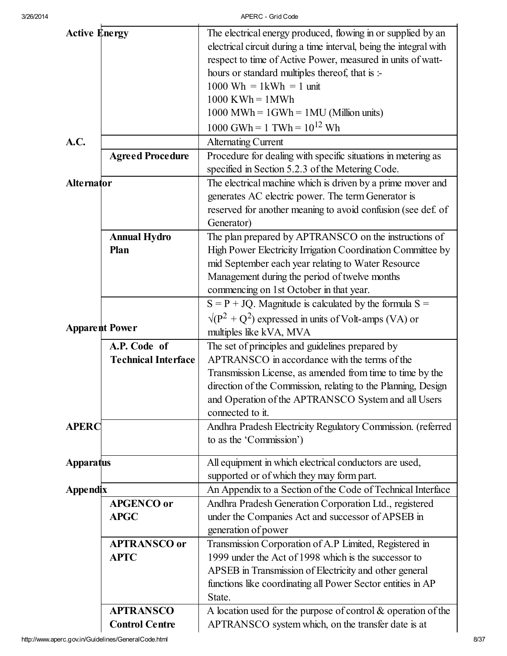| <b>Active Energy</b> |                                    | The electrical energy produced, flowing in or supplied by an          |
|----------------------|------------------------------------|-----------------------------------------------------------------------|
|                      |                                    | electrical circuit during a time interval, being the integral with    |
|                      |                                    | respect to time of Active Power, measured in units of watt-           |
|                      |                                    | hours or standard multiples thereof, that is :-                       |
|                      |                                    | $1000 \text{ Wh} = 1 \text{kWh} = 1 \text{ unit}$                     |
|                      |                                    | $1000$ KWh = $1$ MWh                                                  |
|                      |                                    | $1000$ MWh = $1$ GWh = $1$ MU (Million units)                         |
|                      |                                    | $1000$ GWh = 1 TWh = $10^{12}$ Wh                                     |
| A.C.                 |                                    | <b>Alternating Current</b>                                            |
|                      | <b>Agreed Procedure</b>            | Procedure for dealing with specific situations in metering as         |
|                      |                                    | specified in Section 5.2.3 of the Metering Code.                      |
| <b>Alternator</b>    |                                    | The electrical machine which is driven by a prime mover and           |
|                      |                                    | generates AC electric power. The term Generator is                    |
|                      |                                    | reserved for another meaning to avoid confusion (see def. of          |
|                      |                                    | Generator)                                                            |
|                      | <b>Annual Hydro</b>                | The plan prepared by APTRANSCO on the instructions of                 |
|                      | Plan                               | High Power Electricity Irrigation Coordination Committee by           |
|                      |                                    | mid September each year relating to Water Resource                    |
|                      |                                    | Management during the period of twelve months                         |
|                      |                                    | commencing on 1st October in that year.                               |
|                      |                                    | $S = P + JQ$ . Magnitude is calculated by the formula S =             |
|                      |                                    | $\sqrt{(P^2 + Q^2)}$ expressed in units of Volt-amps (VA) or          |
|                      | <b>Apparent Power</b>              | multiples like kVA, MVA                                               |
|                      | A.P. Code of                       | The set of principles and guidelines prepared by                      |
|                      | <b>Technical Interface</b>         | APTRANSCO in accordance with the terms of the                         |
|                      |                                    | Transmission License, as amended from time to time by the             |
|                      |                                    | direction of the Commission, relating to the Planning, Design         |
|                      |                                    | and Operation of the APTRANSCO System and all Users                   |
|                      |                                    | connected to it.                                                      |
| <b>APERC</b>         |                                    | Andhra Pradesh Electricity Regulatory Commission. (referred           |
|                      |                                    | to as the 'Commission')                                               |
|                      |                                    |                                                                       |
| Apparatus            |                                    | All equipment in which electrical conductors are used,                |
|                      |                                    | supported or of which they may form part.                             |
| <b>Appendix</b>      |                                    | An Appendix to a Section of the Code of Technical Interface           |
|                      | <b>APGENCO</b> or                  | Andhra Pradesh Generation Corporation Ltd., registered                |
|                      | <b>APGC</b>                        | under the Companies Act and successor of APSEB in                     |
|                      |                                    | generation of power                                                   |
|                      | <b>APTRANSCO</b> or<br><b>APTC</b> | Transmission Corporation of A.P Limited, Registered in                |
|                      |                                    | 1999 under the Act of 1998 which is the successor to                  |
|                      |                                    | APSEB in Transmission of Electricity and other general                |
|                      |                                    | functions like coordinating all Power Sector entities in AP<br>State. |
|                      | <b>APTRANSCO</b>                   |                                                                       |
|                      |                                    | A location used for the purpose of control $\&$ operation of the      |
|                      | <b>Control Centre</b>              | APTRANSCO system which, on the transfer date is at                    |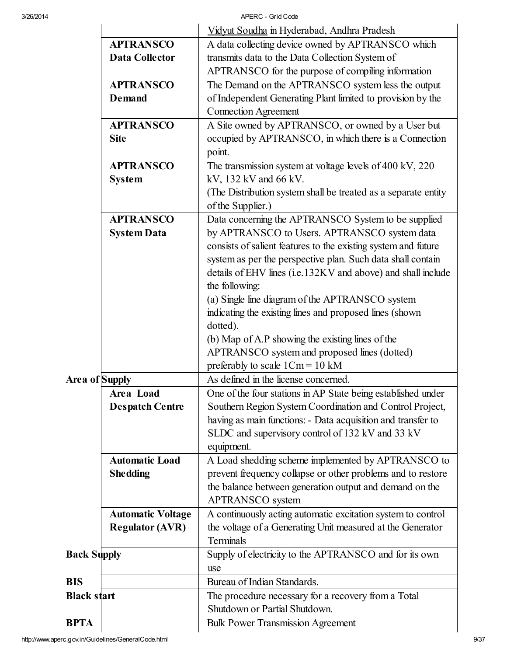|                      |                          | Vidyut Soudha in Hyderabad, Andhra Pradesh                              |
|----------------------|--------------------------|-------------------------------------------------------------------------|
|                      | <b>APTRANSCO</b>         | A data collecting device owned by APTRANSCO which                       |
|                      | <b>Data Collector</b>    | transmits data to the Data Collection System of                         |
|                      |                          | APTRANSCO for the purpose of compiling information                      |
|                      | <b>APTRANSCO</b>         | The Demand on the APTRANSCO system less the output                      |
|                      | <b>Demand</b>            | of Independent Generating Plant limited to provision by the             |
|                      |                          | <b>Connection Agreement</b>                                             |
|                      | <b>APTRANSCO</b>         | A Site owned by APTRANSCO, or owned by a User but                       |
|                      | <b>Site</b>              | occupied by APTRANSCO, in which there is a Connection                   |
|                      |                          | point.                                                                  |
|                      | <b>APTRANSCO</b>         | The transmission system at voltage levels of 400 kV, 220                |
|                      | <b>System</b>            | kV, 132 kV and 66 kV.                                                   |
|                      |                          | (The Distribution system shall be treated as a separate entity)         |
|                      |                          | of the Supplier.)                                                       |
|                      | <b>APTRANSCO</b>         | Data concerning the APTRANSCO System to be supplied                     |
|                      | <b>System Data</b>       | by APTRANSCO to Users. APTRANSCO system data                            |
|                      |                          | consists of salient features to the existing system and future          |
|                      |                          | system as per the perspective plan. Such data shall contain             |
|                      |                          | details of EHV lines (i.e.132KV and above) and shall include            |
|                      |                          | the following:                                                          |
|                      |                          | (a) Single line diagram of the APTRANSCO system                         |
|                      |                          | indicating the existing lines and proposed lines (shown                 |
|                      |                          | dotted).                                                                |
|                      |                          | (b) Map of A.P showing the existing lines of the                        |
|                      |                          | APTRANSCO system and proposed lines (dotted)                            |
|                      |                          | preferably to scale $1 \text{Cm} = 10 \text{ kM}$                       |
| Area of Supply       |                          | As defined in the license concerned.                                    |
|                      | Area Load                | One of the four stations in AP State being established under            |
|                      | <b>Despatch Centre</b>   | Southern Region System Coordination and Control Project,                |
|                      |                          | having as main functions: - Data acquisition and transfer to            |
|                      |                          | SLDC and supervisory control of 132 kV and 33 kV                        |
|                      |                          | equipment.                                                              |
|                      | <b>Automatic Load</b>    | A Load shedding scheme implemented by APTRANSCO to                      |
|                      | <b>Shedding</b>          | prevent frequency collapse or other problems and to restore             |
|                      |                          | the balance between generation output and demand on the                 |
|                      |                          | APTRANSCO system                                                        |
|                      | <b>Automatic Voltage</b> | A continuously acting automatic excitation system to control            |
|                      | <b>Regulator (AVR)</b>   | the voltage of a Generating Unit measured at the Generator<br>Terminals |
|                      |                          |                                                                         |
| <b>Back Supply</b>   |                          | Supply of electricity to the APTRANSCO and for its own                  |
|                      |                          | use                                                                     |
| BIS                  |                          | Bureau of Indian Standards.                                             |
| Black s <b>t</b> art |                          | The procedure necessary for a recovery from a Total                     |
|                      |                          | Shutdown or Partial Shutdown.                                           |
| BPTA                 |                          | <b>Bulk Power Transmission Agreement</b>                                |

http://www.aperc.gov.in/Guidelines/GeneralCode.html 9/37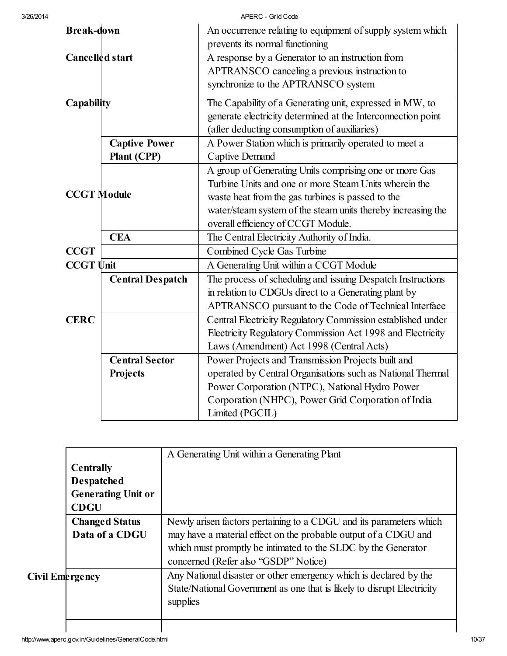| <b>Break-down</b>  |                         | An occurrence relating to equipment of supply system which<br>prevents its normal functioning |
|--------------------|-------------------------|-----------------------------------------------------------------------------------------------|
| Cancelled start    |                         | A response by a Generator to an instruction from                                              |
|                    |                         | APTRANSCO canceling a previous instruction to                                                 |
|                    |                         | synchronize to the APTRANSCO system                                                           |
| Capability         |                         | The Capability of a Generating unit, expressed in MW, to                                      |
|                    |                         | generate electricity determined at the Interconnection point                                  |
|                    |                         | (after deducting consumption of auxiliaries)                                                  |
|                    | <b>Captive Power</b>    | A Power Station which is primarily operated to meet a                                         |
|                    | <b>Plant (CPP)</b>      | <b>Captive Demand</b>                                                                         |
|                    |                         | A group of Generating Units comprising one or more Gas                                        |
|                    |                         | Turbine Units and one or more Steam Units wherein the                                         |
| <b>CCGT</b> Module |                         | waste heat from the gas turbines is passed to the                                             |
|                    |                         | water/steam system of the steam units thereby increasing the                                  |
|                    |                         | overall efficiency of CCGT Module.                                                            |
|                    | <b>CEA</b>              | The Central Electricity Authority of India.                                                   |
| <b>CCGT</b>        |                         | Combined Cycle Gas Turbine                                                                    |
| <b>CCGT</b> Unit   |                         | A Generating Unit within a CCGT Module                                                        |
|                    | <b>Central Despatch</b> | The process of scheduling and issuing Despatch Instructions                                   |
|                    |                         | in relation to CDGUs direct to a Generating plant by                                          |
|                    |                         | APTRANSCO pursuant to the Code of Technical Interface                                         |
| <b>CERC</b>        |                         | Central Electricity Regulatory Commission established under                                   |
|                    |                         | Electricity Regulatory Commission Act 1998 and Electricity                                    |
|                    |                         | Laws (Amendment) Act 1998 (Central Acts)                                                      |
|                    | <b>Central Sector</b>   | Power Projects and Transmission Projects built and                                            |
|                    | Projects                | operated by Central Organisations such as National Thermal                                    |
|                    |                         | Power Corporation (NTPC), National Hydro Power                                                |
|                    |                         | Corporation (NHPC), Power Grid Corporation of India                                           |
|                    |                         | Limited (PGCIL)                                                                               |

|                 |                           | A Generating Unit within a Generating Plant                            |
|-----------------|---------------------------|------------------------------------------------------------------------|
|                 | <b>Centrally</b>          |                                                                        |
|                 | <b>Despatched</b>         |                                                                        |
|                 | <b>Generating Unit or</b> |                                                                        |
|                 | <b>CDGU</b>               |                                                                        |
|                 | <b>Changed Status</b>     | Newly arisen factors pertaining to a CDGU and its parameters which     |
|                 | Data of a CDGU            | may have a material effect on the probable output of a CDGU and        |
|                 |                           | which must promptly be intimated to the SLDC by the Generator          |
|                 |                           | concerned (Refer also "GSDP" Notice)                                   |
| Civil Emergency |                           | Any National disaster or other emergency which is declared by the      |
|                 |                           | State/National Government as one that is likely to disrupt Electricity |
|                 |                           | supplies                                                               |
|                 |                           |                                                                        |
|                 |                           |                                                                        |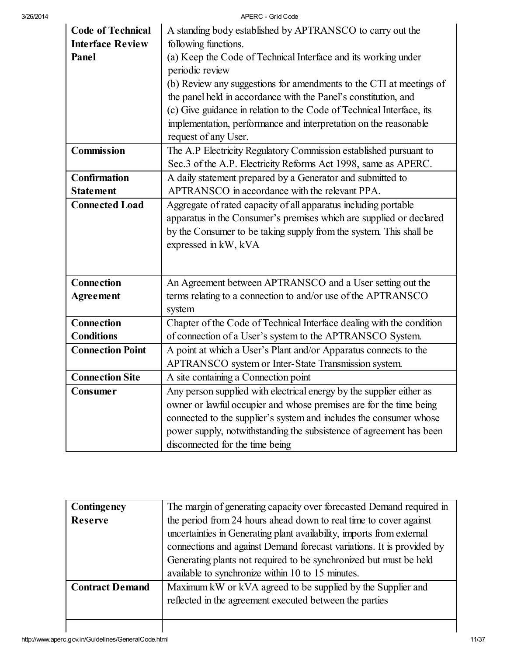| <b>Code of Technical</b> | A standing body established by APTRANSCO to carry out the             |  |  |
|--------------------------|-----------------------------------------------------------------------|--|--|
| <b>Interface Review</b>  | following functions.                                                  |  |  |
| Panel                    | (a) Keep the Code of Technical Interface and its working under        |  |  |
|                          | periodic review                                                       |  |  |
|                          | (b) Review any suggestions for amendments to the CTI at meetings of   |  |  |
|                          | the panel held in accordance with the Panel's constitution, and       |  |  |
|                          | (c) Give guidance in relation to the Code of Technical Interface, its |  |  |
|                          | implementation, performance and interpretation on the reasonable      |  |  |
|                          | request of any User.                                                  |  |  |
| Commission               | The A.P Electricity Regulatory Commission established pursuant to     |  |  |
|                          | Sec.3 of the A.P. Electricity Reforms Act 1998, same as APERC.        |  |  |
| <b>Confirmation</b>      | A daily statement prepared by a Generator and submitted to            |  |  |
| <b>Statement</b>         | APTRANSCO in accordance with the relevant PPA.                        |  |  |
| <b>Connected Load</b>    | Aggregate of rated capacity of all apparatus including portable       |  |  |
|                          | apparatus in the Consumer's premises which are supplied or declared   |  |  |
|                          | by the Consumer to be taking supply from the system. This shall be    |  |  |
|                          | expressed in kW, kVA                                                  |  |  |
|                          |                                                                       |  |  |
|                          |                                                                       |  |  |
| <b>Connection</b>        | An Agreement between APTRANSCO and a User setting out the             |  |  |
| <b>Agreement</b>         | terms relating to a connection to and/or use of the APTRANSCO         |  |  |
|                          | system                                                                |  |  |
| <b>Connection</b>        | Chapter of the Code of Technical Interface dealing with the condition |  |  |
| <b>Conditions</b>        | of connection of a User's system to the APTRANSCO System.             |  |  |
| <b>Connection Point</b>  | A point at which a User's Plant and/or Apparatus connects to the      |  |  |
|                          | APTRANSCO system or Inter-State Transmission system.                  |  |  |
| <b>Connection Site</b>   | A site containing a Connection point                                  |  |  |
| Consumer                 | Any person supplied with electrical energy by the supplier either as  |  |  |
|                          | owner or lawful occupier and whose premises are for the time being    |  |  |
|                          | connected to the supplier's system and includes the consumer whose    |  |  |
|                          |                                                                       |  |  |
|                          | power supply, notwithstanding the subsistence of agreement has been   |  |  |

| Contingency            | The margin of generating capacity over forecasted Demand required in  |
|------------------------|-----------------------------------------------------------------------|
| <b>Reserve</b>         | the period from 24 hours ahead down to real time to cover against     |
|                        | uncertainties in Generating plant availability, imports from external |
|                        | connections and against Demand forecast variations. It is provided by |
|                        | Generating plants not required to be synchronized but must be held    |
|                        | available to synchronize within 10 to 15 minutes.                     |
| <b>Contract Demand</b> | Maximum kW or kVA agreed to be supplied by the Supplier and           |
|                        | reflected in the agreement executed between the parties               |
|                        |                                                                       |
|                        |                                                                       |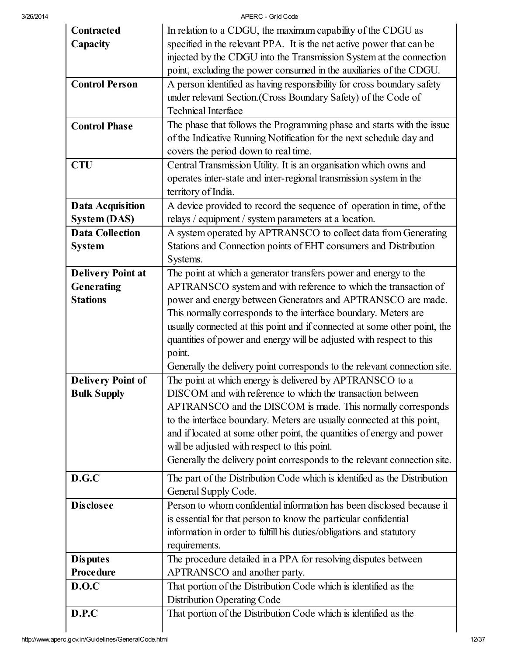| <b>Contracted</b>        | In relation to a CDGU, the maximum capability of the CDGU as                                                                                     |
|--------------------------|--------------------------------------------------------------------------------------------------------------------------------------------------|
| Capacity                 | specified in the relevant PPA. It is the net active power that can be                                                                            |
|                          | injected by the CDGU into the Transmission System at the connection                                                                              |
|                          | point, excluding the power consumed in the auxiliaries of the CDGU.                                                                              |
| <b>Control Person</b>    | A person identified as having responsibility for cross boundary safety                                                                           |
|                          | under relevant Section. (Cross Boundary Safety) of the Code of                                                                                   |
|                          | <b>Technical Interface</b>                                                                                                                       |
| <b>Control Phase</b>     | The phase that follows the Programming phase and starts with the issue                                                                           |
|                          | of the Indicative Running Notification for the next schedule day and                                                                             |
|                          | covers the period down to real time.                                                                                                             |
| <b>CTU</b>               | Central Transmission Utility. It is an organisation which owns and                                                                               |
|                          | operates inter-state and inter-regional transmission system in the                                                                               |
|                          | territory of India.                                                                                                                              |
| <b>Data Acquisition</b>  | A device provided to record the sequence of operation in time, of the                                                                            |
| <b>System (DAS)</b>      | relays / equipment / system parameters at a location.                                                                                            |
| <b>Data Collection</b>   | A system operated by APTRANSCO to collect data from Generating                                                                                   |
| <b>System</b>            | Stations and Connection points of EHT consumers and Distribution                                                                                 |
|                          | Systems.                                                                                                                                         |
| <b>Delivery Point at</b> | The point at which a generator transfers power and energy to the                                                                                 |
| Generating               | APTRANSCO system and with reference to which the transaction of                                                                                  |
| <b>Stations</b>          | power and energy between Generators and APTRANSCO are made.                                                                                      |
|                          | This normally corresponds to the interface boundary. Meters are                                                                                  |
|                          | usually connected at this point and if connected at some other point, the                                                                        |
|                          | quantities of power and energy will be adjusted with respect to this                                                                             |
|                          | point.                                                                                                                                           |
|                          | Generally the delivery point corresponds to the relevant connection site.                                                                        |
| <b>Delivery Point of</b> | The point at which energy is delivered by APTRANSCO to a                                                                                         |
| <b>Bulk Supply</b>       | DISCOM and with reference to which the transaction between                                                                                       |
|                          | APTRANSCO and the DISCOM is made. This normally corresponds                                                                                      |
|                          | to the interface boundary. Meters are usually connected at this point,<br>and if located at some other point, the quantities of energy and power |
|                          | will be adjusted with respect to this point.                                                                                                     |
|                          | Generally the delivery point corresponds to the relevant connection site.                                                                        |
|                          |                                                                                                                                                  |
| D.G.C                    | The part of the Distribution Code which is identified as the Distribution                                                                        |
|                          | General Supply Code.                                                                                                                             |
| <b>Disclosee</b>         | Person to whom confidential information has been disclosed because it                                                                            |
|                          | is essential for that person to know the particular confidential                                                                                 |
|                          | information in order to fulfill his duties/obligations and statutory                                                                             |
|                          | requirements.                                                                                                                                    |
| <b>Disputes</b>          | The procedure detailed in a PPA for resolving disputes between                                                                                   |
| <b>Procedure</b>         | APTRANSCO and another party.                                                                                                                     |
| D.O.C                    | That portion of the Distribution Code which is identified as the                                                                                 |
|                          | <b>Distribution Operating Code</b>                                                                                                               |
| D.P.C                    | That portion of the Distribution Code which is identified as the                                                                                 |
|                          |                                                                                                                                                  |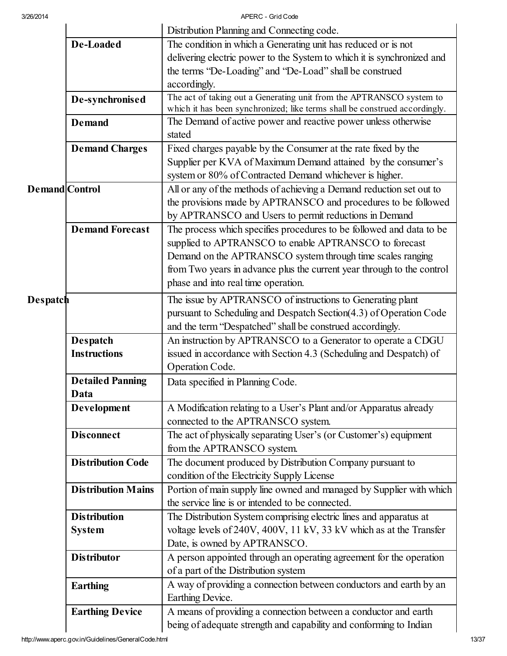| 3/26/2014             |                           | APERC - Grid Code                                                                                                                                                                          |
|-----------------------|---------------------------|--------------------------------------------------------------------------------------------------------------------------------------------------------------------------------------------|
|                       |                           | Distribution Planning and Connecting code.                                                                                                                                                 |
|                       | De-Loaded                 | The condition in which a Generating unit has reduced or is not                                                                                                                             |
|                       |                           | delivering electric power to the System to which it is synchronized and                                                                                                                    |
|                       |                           | the terms "De-Loading" and "De-Load" shall be construed                                                                                                                                    |
|                       |                           | accordingly.                                                                                                                                                                               |
|                       | De-synchronised           | The act of taking out a Generating unit from the APTRANSCO system to<br>which it has been synchronized; like terms shall be construed accordingly.                                         |
|                       | Demand                    | The Demand of active power and reactive power unless otherwise<br>stated                                                                                                                   |
|                       | <b>Demand Charges</b>     | Fixed charges payable by the Consumer at the rate fixed by the<br>Supplier per KVA of Maximum Demand attained by the consumer's<br>system or 80% of Contracted Demand whichever is higher. |
| <b>Demand</b> Control |                           | All or any of the methods of achieving a Demand reduction set out to                                                                                                                       |
|                       |                           | the provisions made by APTRANSCO and procedures to be followed                                                                                                                             |
|                       |                           | by APTRANSCO and Users to permit reductions in Demand                                                                                                                                      |
|                       | <b>Demand Forecast</b>    | The process which specifies procedures to be followed and data to be                                                                                                                       |
|                       |                           | supplied to APTRANSCO to enable APTRANSCO to forecast                                                                                                                                      |
|                       |                           | Demand on the APTRANSCO system through time scales ranging                                                                                                                                 |
|                       |                           | from Two years in advance plus the current year through to the control                                                                                                                     |
|                       |                           | phase and into real time operation.                                                                                                                                                        |
| Despatch              |                           | The issue by APTRANSCO of instructions to Generating plant                                                                                                                                 |
|                       |                           | pursuant to Scheduling and Despatch Section(4.3) of Operation Code                                                                                                                         |
|                       |                           | and the term 'Despatched' shall be construed accordingly.                                                                                                                                  |
|                       | <b>Despatch</b>           | An instruction by APTRANSCO to a Generator to operate a CDGU                                                                                                                               |
|                       | <b>Instructions</b>       | issued in accordance with Section 4.3 (Scheduling and Despatch) of                                                                                                                         |
|                       |                           | Operation Code.                                                                                                                                                                            |
|                       | <b>Detailed Panning</b>   | Data specified in Planning Code.                                                                                                                                                           |
|                       | Data                      |                                                                                                                                                                                            |
|                       | Development               | A Modification relating to a User's Plant and/or Apparatus already<br>connected to the APTRANSCO system.                                                                                   |
|                       | <b>Disconnect</b>         | The act of physically separating User's (or Customer's) equipment                                                                                                                          |
|                       |                           | from the APTRANSCO system.                                                                                                                                                                 |
|                       | <b>Distribution Code</b>  | The document produced by Distribution Company pursuant to                                                                                                                                  |
|                       |                           | condition of the Electricity Supply License                                                                                                                                                |
|                       | <b>Distribution Mains</b> | Portion of main supply line owned and managed by Supplier with which                                                                                                                       |
|                       |                           | the service line is or intended to be connected.                                                                                                                                           |
|                       | <b>Distribution</b>       | The Distribution System comprising electric lines and apparatus at                                                                                                                         |
|                       | <b>System</b>             | voltage levels of 240V, 400V, 11 kV, 33 kV which as at the Transfer                                                                                                                        |
|                       |                           | Date, is owned by APTRANSCO.                                                                                                                                                               |
|                       | <b>Distributor</b>        | A person appointed through an operating agreement for the operation                                                                                                                        |
|                       |                           | of a part of the Distribution system                                                                                                                                                       |
|                       | <b>Earthing</b>           | A way of providing a connection between conductors and earth by an                                                                                                                         |
|                       |                           | Earthing Device.                                                                                                                                                                           |
|                       | <b>Earthing Device</b>    | A means of providing a connection between a conductor and earth                                                                                                                            |
|                       |                           | being of adequate strength and capability and conforming to Indian                                                                                                                         |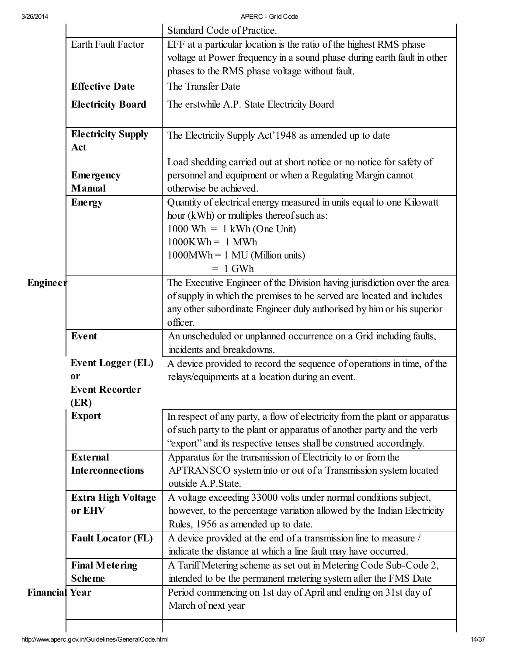| 3/26/2014<br>APERC - Grid Code |                                  |                                                                                                                                                                   |
|--------------------------------|----------------------------------|-------------------------------------------------------------------------------------------------------------------------------------------------------------------|
|                                |                                  | Standard Code of Practice.                                                                                                                                        |
|                                | Earth Fault Factor               | EFF at a particular location is the ratio of the highest RMS phase                                                                                                |
|                                |                                  | voltage at Power frequency in a sound phase during earth fault in other                                                                                           |
|                                |                                  | phases to the RMS phase voltage without fault.                                                                                                                    |
|                                | <b>Effective Date</b>            | The Transfer Date                                                                                                                                                 |
|                                | <b>Electricity Board</b>         | The erstwhile A.P. State Electricity Board                                                                                                                        |
|                                | <b>Electricity Supply</b><br>Act | The Electricity Supply Act'1948 as amended up to date                                                                                                             |
|                                |                                  | Load shedding carried out at short notice or no notice for safety of                                                                                              |
|                                | <b>Emergency</b>                 | personnel and equipment or when a Regulating Margin cannot                                                                                                        |
|                                | <b>Manual</b>                    | otherwise be achieved.                                                                                                                                            |
|                                | <b>Energy</b>                    | Quantity of electrical energy measured in units equal to one Kilowatt<br>hour (kWh) or multiples thereof such as:<br>$1000 \text{ Wh} = 1 \text{ kWh}$ (One Unit) |
|                                |                                  | $1000KWh = 1$ MWh                                                                                                                                                 |
|                                |                                  | $1000MWh = 1 MU$ (Million units)<br>$= 1$ GWh                                                                                                                     |
|                                |                                  |                                                                                                                                                                   |
| <b>Engineer</b>                |                                  | The Executive Engineer of the Division having jurisdiction over the area<br>of supply in which the premises to be served are located and includes                 |
|                                |                                  | any other subordinate Engineer duly authorised by him or his superior                                                                                             |
|                                |                                  | officer.                                                                                                                                                          |
|                                | <b>Event</b>                     | An unscheduled or unplanned occurrence on a Grid including faults,                                                                                                |
|                                |                                  | incidents and breakdowns.                                                                                                                                         |
|                                | <b>Event Logger (EL)</b>         | A device provided to record the sequence of operations in time, of the                                                                                            |
|                                | <b>or</b>                        | relays/equipments at a location during an event.                                                                                                                  |
|                                | <b>Event Recorder</b>            |                                                                                                                                                                   |
|                                | (ER)                             |                                                                                                                                                                   |
|                                | <b>Export</b>                    | In respect of any party, a flow of electricity from the plant or apparatus                                                                                        |
|                                |                                  | of such party to the plant or apparatus of another party and the verb                                                                                             |
|                                |                                  | "export" and its respective tenses shall be construed accordingly.                                                                                                |
|                                | <b>External</b>                  | Apparatus for the transmission of Electricity to or from the                                                                                                      |
|                                | <b>Interconnections</b>          | APTRANSCO system into or out of a Transmission system located                                                                                                     |
|                                |                                  | outside A.P.State.                                                                                                                                                |
|                                | <b>Extra High Voltage</b>        | A voltage exceeding 33000 volts under normal conditions subject,                                                                                                  |
|                                | or EHV                           | however, to the percentage variation allowed by the Indian Electricity                                                                                            |
|                                |                                  | Rules, 1956 as amended up to date.                                                                                                                                |
|                                | <b>Fault Locator (FL)</b>        | A device provided at the end of a transmission line to measure /                                                                                                  |
|                                |                                  | indicate the distance at which a line fault may have occurred.                                                                                                    |
|                                | <b>Final Metering</b>            | A Tariff Metering scheme as set out in Metering Code Sub-Code 2,                                                                                                  |
|                                | <b>Scheme</b>                    | intended to be the permanent metering system after the FMS Date                                                                                                   |
| <b>Financial Year</b>          |                                  | Period commencing on 1st day of April and ending on 31st day of                                                                                                   |
|                                |                                  | March of next year                                                                                                                                                |
|                                |                                  |                                                                                                                                                                   |

 $\mathsf{l}$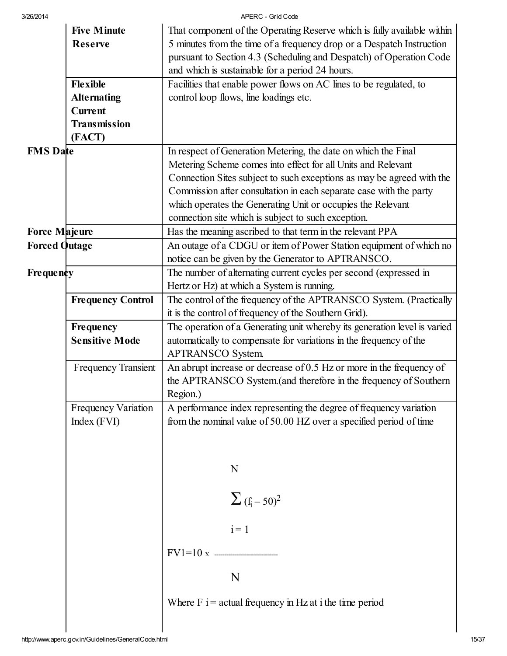| 3/26/2014            |                            | APERC - Grid Code                                                         |
|----------------------|----------------------------|---------------------------------------------------------------------------|
|                      | <b>Five Minute</b>         | That component of the Operating Reserve which is fully available within   |
|                      | <b>Reserve</b>             | 5 minutes from the time of a frequency drop or a Despatch Instruction     |
|                      |                            | pursuant to Section 4.3 (Scheduling and Despatch) of Operation Code       |
|                      |                            | and which is sustainable for a period 24 hours.                           |
|                      | <b>Flexible</b>            | Facilities that enable power flows on AC lines to be regulated, to        |
|                      | <b>Alternating</b>         | control loop flows, line loadings etc.                                    |
|                      | <b>Current</b>             |                                                                           |
|                      | <b>Transmission</b>        |                                                                           |
|                      | (FACT)                     |                                                                           |
| <b>FMS</b> Date      |                            | In respect of Generation Metering, the date on which the Final            |
|                      |                            | Metering Scheme comes into effect for all Units and Relevant              |
|                      |                            | Connection Sites subject to such exceptions as may be agreed with the     |
|                      |                            | Commission after consultation in each separate case with the party        |
|                      |                            | which operates the Generating Unit or occupies the Relevant               |
|                      |                            | connection site which is subject to such exception.                       |
| <b>Force Majeure</b> |                            | Has the meaning ascribed to that term in the relevant PPA                 |
| <b>Forced Qutage</b> |                            | An outage of a CDGU or item of Power Station equipment of which no        |
|                      |                            | notice can be given by the Generator to APTRANSCO.                        |
| Frequency            |                            | The number of alternating current cycles per second (expressed in         |
|                      |                            | Hertz or Hz) at which a System is running.                                |
|                      | <b>Frequency Control</b>   | The control of the frequency of the APTRANSCO System. (Practically        |
|                      |                            | it is the control of frequency of the Southern Grid).                     |
|                      | Frequency                  | The operation of a Generating unit whereby its generation level is varied |
|                      | <b>Sensitive Mode</b>      | automatically to compensate for variations in the frequency of the        |
|                      |                            | <b>APTRANSCO</b> System.                                                  |
|                      | <b>Frequency Transient</b> | An abrupt increase or decrease of 0.5 Hz or more in the frequency of      |
|                      |                            | the APTRANSCO System (and therefore in the frequency of Southern          |
|                      |                            | Region.)                                                                  |
|                      | <b>Frequency Variation</b> | A performance index representing the degree of frequency variation        |
|                      | Index (FVI)                | from the nominal value of 50.00 HZ over a specified period of time        |
|                      |                            |                                                                           |
|                      |                            |                                                                           |
|                      |                            | N                                                                         |
|                      |                            |                                                                           |
|                      |                            | $\sum (f_i - 50)^2$                                                       |
|                      |                            |                                                                           |
|                      |                            |                                                                           |
|                      |                            | $i = 1$                                                                   |
|                      |                            |                                                                           |
|                      |                            |                                                                           |
|                      |                            | N                                                                         |
|                      |                            |                                                                           |
|                      |                            | Where $F$ i = actual frequency in Hz at i the time period                 |
|                      |                            |                                                                           |
|                      |                            |                                                                           |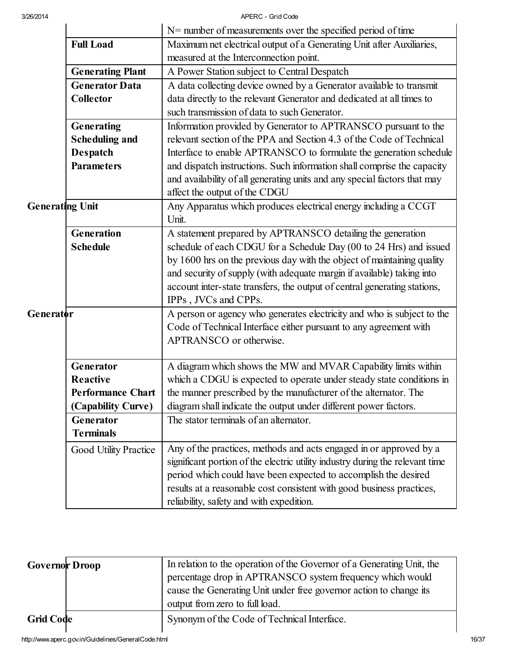|                        |                          | $N$ = number of measurements over the specified period of time                |
|------------------------|--------------------------|-------------------------------------------------------------------------------|
| <b>Full Load</b>       |                          | Maximum net electrical output of a Generating Unit after Auxiliaries,         |
|                        |                          | measured at the Interconnection point.                                        |
|                        | <b>Generating Plant</b>  | A Power Station subject to Central Despatch                                   |
| <b>Generator Data</b>  |                          | A data collecting device owned by a Generator available to transmit           |
| Collector              |                          | data directly to the relevant Generator and dedicated at all times to         |
|                        |                          | such transmission of data to such Generator.                                  |
| Generating             |                          | Information provided by Generator to APTRANSCO pursuant to the                |
| <b>Scheduling and</b>  |                          | relevant section of the PPA and Section 4.3 of the Code of Technical          |
| Despatch               |                          | Interface to enable APTRANSCO to formulate the generation schedule            |
| <b>Parameters</b>      |                          | and dispatch instructions. Such information shall comprise the capacity       |
|                        |                          | and availability of all generating units and any special factors that may     |
|                        |                          | affect the output of the CDGU                                                 |
| <b>Generating Unit</b> |                          | Any Apparatus which produces electrical energy including a CCGT               |
|                        |                          | Unit.                                                                         |
| <b>Generation</b>      |                          | A statement prepared by APTRANSCO detailing the generation                    |
| <b>Schedule</b>        |                          | schedule of each CDGU for a Schedule Day (00 to 24 Hrs) and issued            |
|                        |                          | by 1600 hrs on the previous day with the object of maintaining quality        |
|                        |                          | and security of supply (with adequate margin if available) taking into        |
|                        |                          | account inter-state transfers, the output of central generating stations,     |
|                        |                          | IPPs, JVCs and CPPs.                                                          |
| Generator              |                          | A person or agency who generates electricity and who is subject to the        |
|                        |                          | Code of Technical Interface either pursuant to any agreement with             |
|                        |                          | APTRANSCO or otherwise.                                                       |
|                        |                          |                                                                               |
| Generator              |                          | A diagram which shows the MW and MVAR Capability limits within                |
| <b>Reactive</b>        |                          | which a CDGU is expected to operate under steady state conditions in          |
|                        | <b>Performance Chart</b> | the manner prescribed by the manufacturer of the alternator. The              |
|                        | (Capability Curve)       | diagram shall indicate the output under different power factors.              |
| Generator              |                          | The stator terminals of an alternator.                                        |
| <b>Terminals</b>       |                          |                                                                               |
|                        | Good Utility Practice    | Any of the practices, methods and acts engaged in or approved by a            |
|                        |                          | significant portion of the electric utility industry during the relevant time |
|                        |                          | period which could have been expected to accomplish the desired               |
|                        |                          | results at a reasonable cost consistent with good business practices,         |
|                        |                          | reliability, safety and with expedition.                                      |

| <b>Governor Droop</b> | In relation to the operation of the Governor of a Generating Unit, the<br>percentage drop in APTRANSCO system frequency which would<br>cause the Generating Unit under free governor action to change its<br>output from zero to full load. |
|-----------------------|---------------------------------------------------------------------------------------------------------------------------------------------------------------------------------------------------------------------------------------------|
| <b>Grid Code</b>      | Synonym of the Code of Technical Interface.                                                                                                                                                                                                 |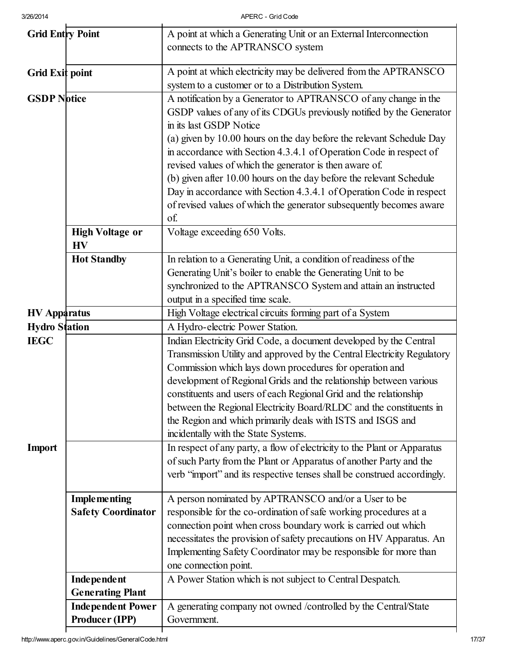| 3/26/2014               |                           | APERC - Grid Code                                                        |
|-------------------------|---------------------------|--------------------------------------------------------------------------|
| <b>Grid Entry Point</b> |                           | A point at which a Generating Unit or an External Interconnection        |
|                         |                           | connects to the APTRANSCO system                                         |
|                         |                           |                                                                          |
| Grid Exit point         |                           | A point at which electricity may be delivered from the APTRANSCO         |
|                         |                           | system to a customer or to a Distribution System.                        |
| <b>GSDP Notice</b>      |                           | A notification by a Generator to APTRANSCO of any change in the          |
|                         |                           | GSDP values of any of its CDGUs previously notified by the Generator     |
|                         |                           | in its last GSDP Notice                                                  |
|                         |                           | (a) given by 10.00 hours on the day before the relevant Schedule Day     |
|                         |                           | in accordance with Section 4.3.4.1 of Operation Code in respect of       |
|                         |                           | revised values of which the generator is then aware of.                  |
|                         |                           | (b) given after 10.00 hours on the day before the relevant Schedule      |
|                         |                           | Day in accordance with Section 4.3.4.1 of Operation Code in respect      |
|                         |                           | of revised values of which the generator subsequently becomes aware      |
|                         |                           | of.                                                                      |
|                         | <b>High Voltage or</b>    | Voltage exceeding 650 Volts.                                             |
|                         | HV                        |                                                                          |
|                         | <b>Hot Standby</b>        | In relation to a Generating Unit, a condition of readiness of the        |
|                         |                           | Generating Unit's boiler to enable the Generating Unit to be             |
|                         |                           | synchronized to the APTRANSCO System and attain an instructed            |
|                         |                           | output in a specified time scale.                                        |
| <b>HV</b> Apparatus     |                           | High Voltage electrical circuits forming part of a System                |
| <b>Hydro Station</b>    |                           | A Hydro-electric Power Station.                                          |
| <b>IEGC</b>             |                           | Indian Electricity Grid Code, a document developed by the Central        |
|                         |                           | Transmission Utility and approved by the Central Electricity Regulatory  |
|                         |                           | Commission which lays down procedures for operation and                  |
|                         |                           | development of Regional Grids and the relationship between various       |
|                         |                           | constituents and users of each Regional Grid and the relationship        |
|                         |                           | between the Regional Electricity Board/RLDC and the constituents in      |
|                         |                           | the Region and which primarily deals with ISTS and ISGS and              |
|                         |                           | incidentally with the State Systems.                                     |
| <b>Import</b>           |                           | In respect of any party, a flow of electricity to the Plant or Apparatus |
|                         |                           | of such Party from the Plant or Apparatus of another Party and the       |
|                         |                           | verb "import" and its respective tenses shall be construed accordingly.  |
|                         | <b>Implementing</b>       | A person nominated by APTRANSCO and/or a User to be                      |
|                         | <b>Safety Coordinator</b> | responsible for the co-ordination of safe working procedures at a        |
|                         |                           | connection point when cross boundary work is carried out which           |
|                         |                           | necessitates the provision of safety precautions on HV Apparatus. An     |
|                         |                           | Implementing Safety Coordinator may be responsible for more than         |
|                         |                           | one connection point.                                                    |
|                         | Independent               | A Power Station which is not subject to Central Despatch.                |
|                         | <b>Generating Plant</b>   |                                                                          |
|                         | <b>Independent Power</b>  | A generating company not owned /controlled by the Central/State          |
|                         | <b>Producer (IPP)</b>     | Government.                                                              |
|                         |                           |                                                                          |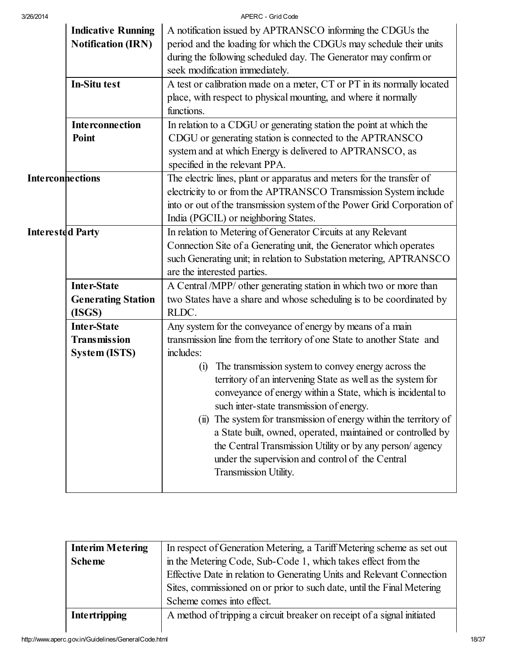|                         | <b>Indicative Running</b> | A notification issued by APTRANSCO informing the CDGUs the                                 |
|-------------------------|---------------------------|--------------------------------------------------------------------------------------------|
|                         | <b>Notification (IRN)</b> | period and the loading for which the CDGUs may schedule their units                        |
|                         |                           | during the following scheduled day. The Generator may confirm or                           |
|                         |                           | seek modification immediately.                                                             |
|                         | <b>In-Situ test</b>       | A test or calibration made on a meter, CT or PT in its normally located                    |
|                         |                           | place, with respect to physical mounting, and where it normally                            |
|                         |                           | functions.                                                                                 |
|                         | <b>Interconnection</b>    | In relation to a CDGU or generating station the point at which the                         |
|                         | Point                     | CDGU or generating station is connected to the APTRANSCO                                   |
|                         |                           | system and at which Energy is delivered to APTRANSCO, as                                   |
|                         |                           | specified in the relevant PPA.                                                             |
| <b>Interconnections</b> |                           | The electric lines, plant or apparatus and meters for the transfer of                      |
|                         |                           | electricity to or from the APTRANSCO Transmission System include                           |
|                         |                           | into or out of the transmission system of the Power Grid Corporation of                    |
|                         |                           | India (PGCIL) or neighboring States.                                                       |
| <b>Interested Party</b> |                           | In relation to Metering of Generator Circuits at any Relevant                              |
|                         |                           | Connection Site of a Generating unit, the Generator which operates                         |
|                         |                           | such Generating unit; in relation to Substation metering, APTRANSCO                        |
|                         |                           | are the interested parties.                                                                |
|                         | <b>Inter-State</b>        | A Central /MPP/ other generating station in which two or more than                         |
|                         | <b>Generating Station</b> | two States have a share and whose scheduling is to be coordinated by                       |
|                         | (ISGS)                    | RLDC.                                                                                      |
|                         | <b>Inter-State</b>        | Any system for the conveyance of energy by means of a main                                 |
|                         | <b>Transmission</b>       | transmission line from the territory of one State to another State and                     |
|                         | <b>System (ISTS)</b>      | includes:                                                                                  |
|                         |                           | The transmission system to convey energy across the<br>$\overline{1}$                      |
|                         |                           | territory of an intervening State as well as the system for                                |
|                         |                           | conveyance of energy within a State, which is incidental to                                |
|                         |                           | such inter-state transmission of energy.                                                   |
|                         |                           | The system for transmission of energy within the territory of<br>$\overline{(\mathbf{u})}$ |
|                         |                           | a State built, owned, operated, maintained or controlled by                                |
|                         |                           | the Central Transmission Utility or by any person/agency                                   |
|                         |                           | under the supervision and control of the Central                                           |
|                         |                           | Transmission Utility.                                                                      |
|                         |                           |                                                                                            |

| <b>Interim Metering</b> | In respect of Generation Metering, a Tariff Metering scheme as set out  |  |
|-------------------------|-------------------------------------------------------------------------|--|
| <b>Scheme</b>           | in the Metering Code, Sub-Code 1, which takes effect from the           |  |
|                         | Effective Date in relation to Generating Units and Relevant Connection  |  |
|                         | Sites, commissioned on or prior to such date, until the Final Metering  |  |
|                         | Scheme comes into effect.                                               |  |
| Intertripping           | A method of tripping a circuit breaker on receipt of a signal initiated |  |
|                         |                                                                         |  |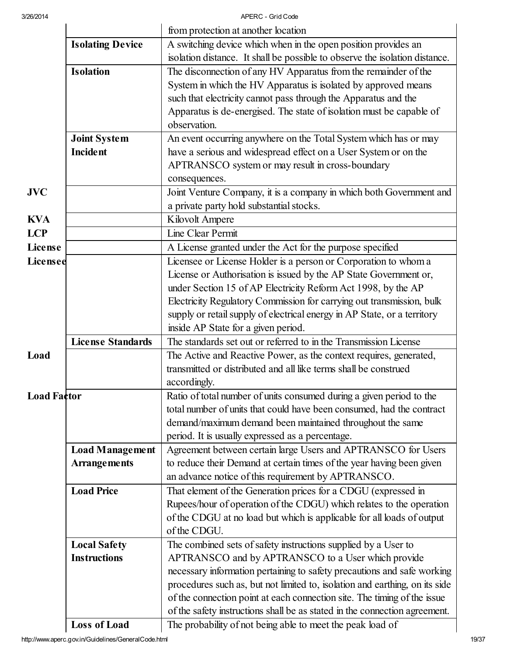| 3/26/2014          |                          | APERC - Grid Code                                                                                                                  |
|--------------------|--------------------------|------------------------------------------------------------------------------------------------------------------------------------|
|                    |                          | from protection at another location                                                                                                |
|                    | <b>Isolating Device</b>  | A switching device which when in the open position provides an                                                                     |
|                    |                          | isolation distance. It shall be possible to observe the isolation distance.                                                        |
|                    | <b>Isolation</b>         | The disconnection of any HV Apparatus from the remainder of the                                                                    |
|                    |                          | System in which the HV Apparatus is isolated by approved means                                                                     |
|                    |                          | such that electricity cannot pass through the Apparatus and the                                                                    |
|                    |                          | Apparatus is de-energised. The state of isolation must be capable of                                                               |
|                    |                          | observation.                                                                                                                       |
|                    | Joint System             | An event occurring anywhere on the Total System which has or may                                                                   |
|                    | <b>Incident</b>          | have a serious and widespread effect on a User System or on the                                                                    |
|                    |                          | APTRANSCO system or may result in cross-boundary                                                                                   |
|                    |                          | consequences.                                                                                                                      |
| <b>JVC</b>         |                          | Joint Venture Company, it is a company in which both Government and                                                                |
|                    |                          | a private party hold substantial stocks.                                                                                           |
| <b>KVA</b>         |                          | Kilovolt Ampere                                                                                                                    |
| <b>LCP</b>         |                          | Line Clear Permit                                                                                                                  |
| License            |                          | A License granted under the Act for the purpose specified                                                                          |
| Licensee           |                          | Licensee or License Holder is a person or Corporation to whom a                                                                    |
|                    |                          | License or Authorisation is issued by the AP State Government or,                                                                  |
|                    |                          | under Section 15 of AP Electricity Reform Act 1998, by the AP                                                                      |
|                    |                          | Electricity Regulatory Commission for carrying out transmission, bulk                                                              |
|                    |                          | supply or retail supply of electrical energy in AP State, or a territory                                                           |
|                    |                          | inside AP State for a given period.                                                                                                |
|                    | <b>License Standards</b> | The standards set out or referred to in the Transmission License                                                                   |
| Load               |                          | The Active and Reactive Power, as the context requires, generated,                                                                 |
|                    |                          | transmitted or distributed and all like terms shall be construed                                                                   |
|                    |                          | accordingly.                                                                                                                       |
| <b>Load Factor</b> |                          | Ratio of total number of units consumed during a given period to the                                                               |
|                    |                          | total number of units that could have been consumed, had the contract<br>demand/maximum demand been maintained throughout the same |
|                    |                          | period. It is usually expressed as a percentage.                                                                                   |
|                    | <b>Load Management</b>   | Agreement between certain large Users and APTRANSCO for Users                                                                      |
|                    | <b>Arrangements</b>      | to reduce their Demand at certain times of the year having been given                                                              |
|                    |                          | an advance notice of this requirement by APTRANSCO.                                                                                |
|                    | <b>Load Price</b>        | That element of the Generation prices for a CDGU (expressed in                                                                     |
|                    |                          | Rupees/hour of operation of the CDGU) which relates to the operation                                                               |
|                    |                          | of the CDGU at no load but which is applicable for all loads of output                                                             |
|                    |                          | of the CDGU.                                                                                                                       |
|                    | <b>Local Safety</b>      | The combined sets of safety instructions supplied by a User to                                                                     |
|                    | <b>Instructions</b>      | APTRANSCO and by APTRANSCO to a User which provide                                                                                 |
|                    |                          | necessary information pertaining to safety precautions and safe working                                                            |
|                    |                          | procedures such as, but not limited to, isolation and earthing, on its side                                                        |
|                    |                          | of the connection point at each connection site. The timing of the issue                                                           |
|                    |                          | of the safety instructions shall be as stated in the connection agreement.                                                         |
|                    | <b>Loss of Load</b>      | The probability of not being able to meet the peak load of                                                                         |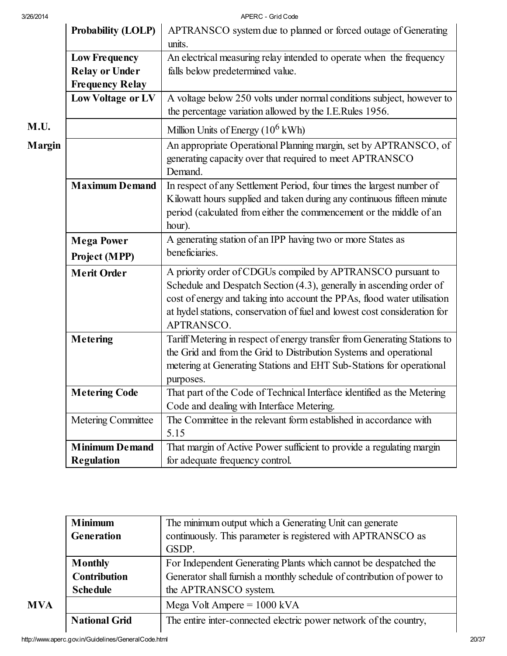|        | Probability (LOLP)                                                      | APTRANSCO system due to planned or forced outage of Generating<br>units.                                                                                                                                                                                                                                   |
|--------|-------------------------------------------------------------------------|------------------------------------------------------------------------------------------------------------------------------------------------------------------------------------------------------------------------------------------------------------------------------------------------------------|
|        | <b>Low Frequency</b><br><b>Relay or Under</b><br><b>Frequency Relay</b> | An electrical measuring relay intended to operate when the frequency<br>falls below predetermined value.                                                                                                                                                                                                   |
|        | Low Voltage or LV                                                       | A voltage below 250 volts under normal conditions subject, however to<br>the percentage variation allowed by the I.E.Rules 1956.                                                                                                                                                                           |
| M.U.   |                                                                         | Million Units of Energy $(10^6 \text{ kWh})$                                                                                                                                                                                                                                                               |
| Margin |                                                                         | An appropriate Operational Planning margin, set by APTRANSCO, of<br>generating capacity over that required to meet APTRANSCO<br>Demand.                                                                                                                                                                    |
|        | <b>Maximum Demand</b>                                                   | In respect of any Settlement Period, four times the largest number of<br>Kilowatt hours supplied and taken during any continuous fifteen minute<br>period (calculated from either the commencement or the middle of an<br>hour).                                                                           |
|        | <b>Mega Power</b>                                                       | A generating station of an IPP having two or more States as                                                                                                                                                                                                                                                |
|        | Project (MPP)                                                           | beneficiaries.                                                                                                                                                                                                                                                                                             |
|        | <b>Merit Order</b>                                                      | A priority order of CDGUs compiled by APTRANSCO pursuant to<br>Schedule and Despatch Section (4.3), generally in ascending order of<br>cost of energy and taking into account the PPAs, flood water utilisation<br>at hydel stations, conservation of fuel and lowest cost consideration for<br>APTRANSCO. |
|        | Metering                                                                | Tariff Metering in respect of energy transfer from Generating Stations to<br>the Grid and from the Grid to Distribution Systems and operational<br>metering at Generating Stations and EHT Sub-Stations for operational<br>purposes.                                                                       |
|        | <b>Metering Code</b>                                                    | That part of the Code of Technical Interface identified as the Metering<br>Code and dealing with Interface Metering.                                                                                                                                                                                       |
|        | Metering Committee                                                      | The Committee in the relevant form established in accordance with<br>5.15                                                                                                                                                                                                                                  |
|        | <b>Minimum Demand</b>                                                   | That margin of Active Power sufficient to provide a regulating margin                                                                                                                                                                                                                                      |
|        | <b>Regulation</b>                                                       | for adequate frequency control.                                                                                                                                                                                                                                                                            |

|     | <b>Minimum</b>       | The minimum output which a Generating Unit can generate                |
|-----|----------------------|------------------------------------------------------------------------|
|     | Generation           | continuously. This parameter is registered with APTRANSCO as           |
|     |                      | GSDP.                                                                  |
|     | <b>Monthly</b>       | For Independent Generating Plants which cannot be despatched the       |
|     | <b>Contribution</b>  | Generator shall furnish a monthly schedule of contribution of power to |
|     | <b>Schedule</b>      | the APTRANSCO system.                                                  |
| MVA |                      | Mega Volt Ampere = $1000 \text{ kVA}$                                  |
|     | <b>National Grid</b> | The entire inter-connected electric power network of the country,      |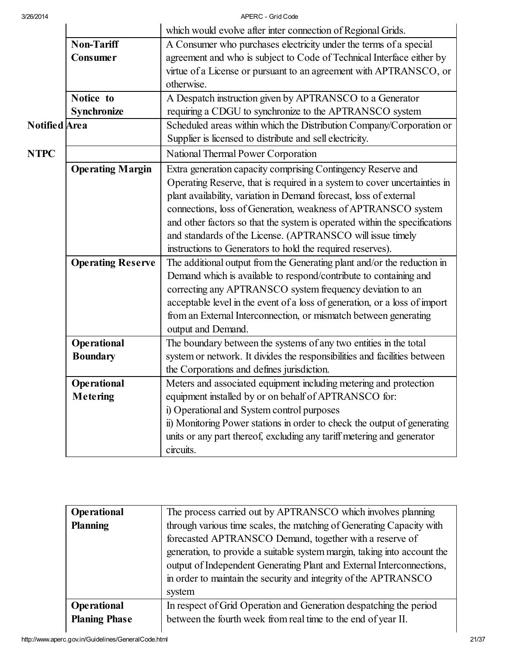|                |                          | which would evolve after inter connection of Regional Grids.               |
|----------------|--------------------------|----------------------------------------------------------------------------|
|                | <b>Non-Tariff</b>        | A Consumer who purchases electricity under the terms of a special          |
|                | Consumer                 | agreement and who is subject to Code of Technical Interface either by      |
|                |                          | virtue of a License or pursuant to an agreement with APTRANSCO, or         |
|                |                          | otherwise.                                                                 |
|                | Notice to                | A Despatch instruction given by APTRANSCO to a Generator                   |
|                | Synchronize              | requiring a CDGU to synchronize to the APTRANSCO system                    |
| Notified  Area |                          | Scheduled areas within which the Distribution Company/Corporation or       |
|                |                          | Supplier is licensed to distribute and sell electricity.                   |
| <b>NTPC</b>    |                          | National Thermal Power Corporation                                         |
|                | <b>Operating Margin</b>  | Extra generation capacity comprising Contingency Reserve and               |
|                |                          | Operating Reserve, that is required in a system to cover uncertainties in  |
|                |                          | plant availability, variation in Demand forecast, loss of external         |
|                |                          | connections, loss of Generation, weakness of APTRANSCO system              |
|                |                          | and other factors so that the system is operated within the specifications |
|                |                          | and standards of the License. (APTRANSCO will issue timely                 |
|                |                          | instructions to Generators to hold the required reserves).                 |
|                | <b>Operating Reserve</b> | The additional output from the Generating plant and/or the reduction in    |
|                |                          | Demand which is available to respond/contribute to containing and          |
|                |                          | correcting any APTRANSCO system frequency deviation to an                  |
|                |                          | acceptable level in the event of a loss of generation, or a loss of import |
|                |                          | from an External Interconnection, or mismatch between generating           |
|                |                          | output and Demand.                                                         |
|                | Operational              | The boundary between the systems of any two entities in the total          |
|                | <b>Boundary</b>          | system or network. It divides the responsibilities and facilities between  |
|                |                          | the Corporations and defines jurisdiction.                                 |
|                | Operational              | Meters and associated equipment including metering and protection          |
|                | Metering                 | equipment installed by or on behalf of APTRANSCO for:                      |
|                |                          | i) Operational and System control purposes                                 |
|                |                          | ii) Monitoring Power stations in order to check the output of generating   |
|                |                          | units or any part thereof, excluding any tariff metering and generator     |
|                |                          | circuits.                                                                  |

| <b>Operational</b>   | The process carried out by APTRANSCO which involves planning                                                                                                                                                                    |
|----------------------|---------------------------------------------------------------------------------------------------------------------------------------------------------------------------------------------------------------------------------|
| <b>Planning</b>      | through various time scales, the matching of Generating Capacity with<br>forecasted APTRANSCO Demand, together with a reserve of                                                                                                |
|                      | generation, to provide a suitable system margin, taking into account the<br>output of Independent Generating Plant and External Interconnections,<br>in order to maintain the security and integrity of the APTRANSCO<br>system |
| <b>Operational</b>   | In respect of Grid Operation and Generation despatching the period                                                                                                                                                              |
| <b>Planing Phase</b> | between the fourth week from real time to the end of year II.                                                                                                                                                                   |
|                      |                                                                                                                                                                                                                                 |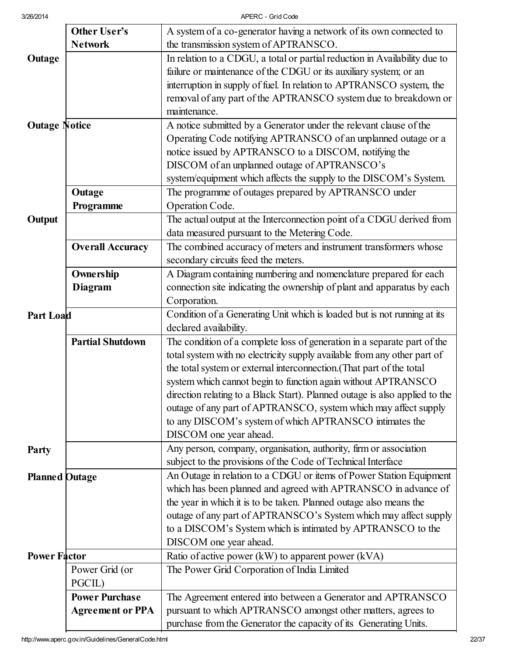|                       | <b>Other User's</b>     | A system of a co-generator having a network of its own connected to                                |
|-----------------------|-------------------------|----------------------------------------------------------------------------------------------------|
|                       | <b>Network</b>          | the transmission system of APTRANSCO.                                                              |
| Outage                |                         | In relation to a CDGU, a total or partial reduction in Availability due to                         |
|                       |                         | failure or maintenance of the CDGU or its auxiliary system; or an                                  |
|                       |                         | interruption in supply of fuel. In relation to APTRANSCO system, the                               |
|                       |                         | removal of any part of the APTRANSCO system due to breakdown or                                    |
|                       |                         | maintenance.                                                                                       |
| <b>Outage Notice</b>  |                         | A notice submitted by a Generator under the relevant clause of the                                 |
|                       |                         | Operating Code notifying APTRANSCO of an unplanned outage or a                                     |
|                       |                         | notice issued by APTRANSCO to a DISCOM, notifying the                                              |
|                       |                         | DISCOM of an unplanned outage of APTRANSCO's                                                       |
|                       |                         | system/equipment which affects the supply to the DISCOM's System.                                  |
|                       | Outage                  | The programme of outages prepared by APTRANSCO under                                               |
|                       | Programme               | Operation Code.                                                                                    |
| Output                |                         | The actual output at the Interconnection point of a CDGU derived from                              |
|                       |                         | data measured pursuant to the Metering Code.                                                       |
|                       | <b>Overall Accuracy</b> | The combined accuracy of meters and instrument transformers whose                                  |
|                       |                         | secondary circuits feed the meters.                                                                |
|                       | Ownership               | A Diagram containing numbering and nomenclature prepared for each                                  |
|                       | Diagram                 | connection site indicating the ownership of plant and apparatus by each                            |
|                       |                         | Corporation.                                                                                       |
| Part Load             |                         | Condition of a Generating Unit which is loaded but is not running at its                           |
|                       | <b>Partial Shutdown</b> | declared availability.<br>The condition of a complete loss of generation in a separate part of the |
|                       |                         | total system with no electricity supply available from any other part of                           |
|                       |                         | the total system or external interconnection. (That part of the total                              |
|                       |                         | system which cannot begin to function again without APTRANSCO                                      |
|                       |                         | direction relating to a Black Start). Planned outage is also applied to the                        |
|                       |                         | outage of any part of APTRANSCO, system which may affect supply                                    |
|                       |                         | to any DISCOM's system of which APTRANSCO intimates the                                            |
|                       |                         | DISCOM one year ahead.                                                                             |
| Party                 |                         | Any person, company, organisation, authority, firm or association                                  |
|                       |                         | subject to the provisions of the Code of Technical Interface                                       |
| <b>Planned Outage</b> |                         | An Outage in relation to a CDGU or items of Power Station Equipment                                |
|                       |                         | which has been planned and agreed with APTRANSCO in advance of                                     |
|                       |                         | the year in which it is to be taken. Planned outage also means the                                 |
|                       |                         | outage of any part of APTRANSCO's System which may affect supply                                   |
|                       |                         | to a DISCOM's System which is intimated by APTRANSCO to the                                        |
|                       |                         | DISCOM one year ahead.                                                                             |
| <b>Power Factor</b>   |                         | Ratio of active power $(kW)$ to apparent power $(kVA)$                                             |
|                       | Power Grid (or          | The Power Grid Corporation of India Limited                                                        |
|                       | PGCIL)                  |                                                                                                    |
|                       | <b>Power Purchase</b>   | The Agreement entered into between a Generator and APTRANSCO                                       |
|                       | <b>Agreement or PPA</b> | pursuant to which APTRANSCO amongst other matters, agrees to                                       |
|                       |                         | purchase from the Generator the capacity of its Generating Units.                                  |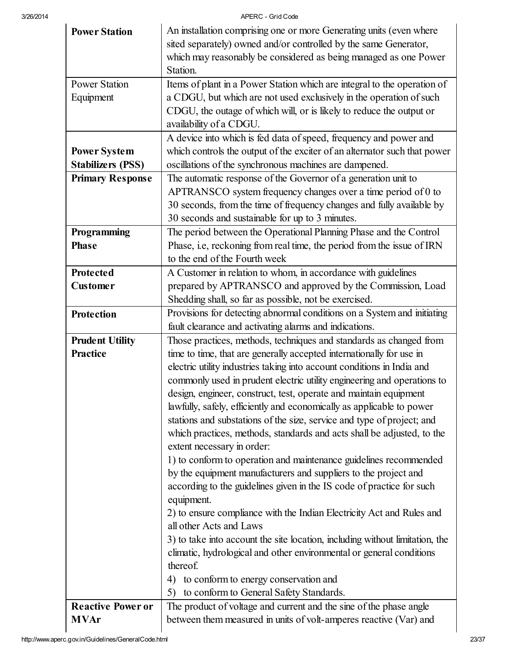| <b>Power Station</b>     | An installation comprising one or more Generating units (even where          |
|--------------------------|------------------------------------------------------------------------------|
|                          | sited separately) owned and/or controlled by the same Generator,             |
|                          | which may reasonably be considered as being managed as one Power             |
|                          | Station.                                                                     |
| <b>Power Station</b>     | Items of plant in a Power Station which are integral to the operation of     |
| Equipment                | a CDGU, but which are not used exclusively in the operation of such          |
|                          | CDGU, the outage of which will, or is likely to reduce the output or         |
|                          | availability of a CDGU.                                                      |
|                          | A device into which is fed data of speed, frequency and power and            |
| <b>Power System</b>      | which controls the output of the exciter of an alternator such that power    |
| <b>Stabilizers (PSS)</b> | oscillations of the synchronous machines are dampened.                       |
| <b>Primary Response</b>  | The automatic response of the Governor of a generation unit to               |
|                          | APTRANSCO system frequency changes over a time period of 0 to                |
|                          | 30 seconds, from the time of frequency changes and fully available by        |
|                          | 30 seconds and sustainable for up to 3 minutes.                              |
| Programming              | The period between the Operational Planning Phase and the Control            |
| <b>Phase</b>             | Phase, i.e., reckoning from real time, the period from the issue of IRN      |
|                          | to the end of the Fourth week                                                |
| Protected                | A Customer in relation to whom, in accordance with guidelines                |
| <b>Customer</b>          | prepared by APTRANSCO and approved by the Commission, Load                   |
|                          | Shedding shall, so far as possible, not be exercised.                        |
| <b>Protection</b>        | Provisions for detecting abnormal conditions on a System and initiating      |
|                          | fault clearance and activating alarms and indications.                       |
| <b>Prudent Utility</b>   | Those practices, methods, techniques and standards as changed from           |
| <b>Practice</b>          | time to time, that are generally accepted internationally for use in         |
|                          | electric utility industries taking into account conditions in India and      |
|                          | commonly used in prudent electric utility engineering and operations to      |
|                          | design, engineer, construct, test, operate and maintain equipment            |
|                          | lawfully, safely, efficiently and economically as applicable to power        |
|                          | stations and substations of the size, service and type of project; and       |
|                          | which practices, methods, standards and acts shall be adjusted, to the       |
|                          | extent necessary in order:                                                   |
|                          | 1) to conform to operation and maintenance guidelines recommended            |
|                          | by the equipment manufacturers and suppliers to the project and              |
|                          | according to the guidelines given in the IS code of practice for such        |
|                          | equipment.                                                                   |
|                          | 2) to ensure compliance with the Indian Electricity Act and Rules and        |
|                          | all other Acts and Laws                                                      |
|                          | 3) to take into account the site location, including without limitation, the |
|                          | climatic, hydrological and other environmental or general conditions         |
|                          | thereof.                                                                     |
|                          | to conform to energy conservation and<br>4)                                  |
|                          | to conform to General Safety Standards.<br>5)                                |
| <b>Reactive Power or</b> | The product of voltage and current and the sine of the phase angle           |
| <b>MVAr</b>              | between them measured in units of volt-amperes reactive (Var) and            |
|                          |                                                                              |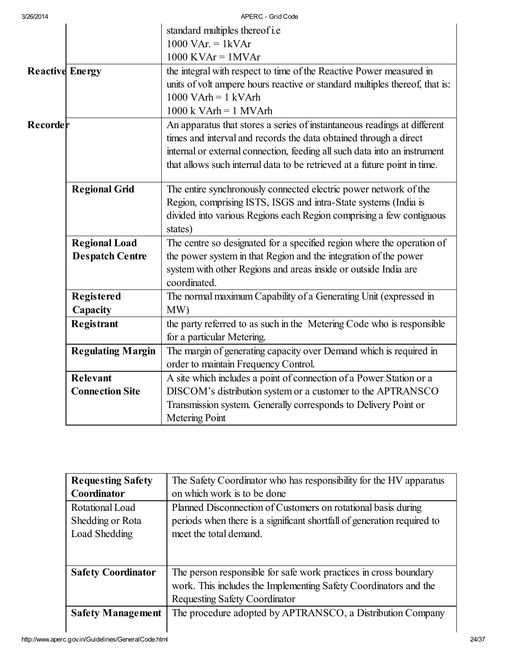| 3/26/2014              |                          | APERC - Grid Code                                                           |
|------------------------|--------------------------|-----------------------------------------------------------------------------|
|                        |                          | standard multiples thereof i.e                                              |
|                        |                          | $1000$ VAr. = 1kVAr                                                         |
|                        |                          | $1000$ KVAr = $1$ MVAr                                                      |
| <b>Reactive Energy</b> |                          | the integral with respect to time of the Reactive Power measured in         |
|                        |                          | units of volt ampere hours reactive or standard multiples thereof, that is: |
|                        |                          | $1000$ VArh = $1$ kVArh                                                     |
|                        |                          | $1000 \text{ k}$ VArh = 1 MVArh                                             |
| Recorder               |                          | An apparatus that stores a series of instantaneous readings at different    |
|                        |                          | times and interval and records the data obtained through a direct           |
|                        |                          | internal or external connection, feeding all such data into an instrument   |
|                        |                          | that allows such internal data to be retrieved at a future point in time.   |
|                        | <b>Regional Grid</b>     | The entire synchronously connected electric power network of the            |
|                        |                          | Region, comprising ISTS, ISGS and intra-State systems (India is             |
|                        |                          | divided into various Regions each Region comprising a few contiguous        |
|                        |                          | states)                                                                     |
|                        | <b>Regional Load</b>     | The centre so designated for a specified region where the operation of      |
|                        | <b>Despatch Centre</b>   | the power system in that Region and the integration of the power            |
|                        |                          | system with other Regions and areas inside or outside India are             |
|                        |                          | coordinated.                                                                |
|                        | Registered               | The normal maximum Capability of a Generating Unit (expressed in            |
|                        | Capacity                 | MW)                                                                         |
|                        | Registrant               | the party referred to as such in the Metering Code who is responsible       |
|                        |                          | for a particular Metering.                                                  |
|                        | <b>Regulating Margin</b> | The margin of generating capacity over Demand which is required in          |
|                        |                          | order to maintain Frequency Control.                                        |
|                        | <b>Relevant</b>          | A site which includes a point of connection of a Power Station or a         |
|                        | <b>Connection Site</b>   | DISCOM's distribution system or a customer to the APTRANSCO                 |
|                        |                          | Transmission system. Generally corresponds to Delivery Point or             |
|                        |                          | Metering Point                                                              |

| <b>Requesting Safety</b>  | The Safety Coordinator who has responsibility for the HV apparatus      |
|---------------------------|-------------------------------------------------------------------------|
| Coordinator               | on which work is to be done                                             |
| Rotational Load           | Planned Disconnection of Customers on rotational basis during           |
| Shedding or Rota          | periods when there is a significant shortfall of generation required to |
| Load Shedding             | meet the total demand.                                                  |
|                           |                                                                         |
|                           |                                                                         |
| <b>Safety Coordinator</b> | The person responsible for safe work practices in cross boundary        |
|                           | work. This includes the Implementing Safety Coordinators and the        |
|                           | <b>Requesting Safety Coordinator</b>                                    |
| <b>Safety Management</b>  | The procedure adopted by APTRANSCO, a Distribution Company              |
|                           |                                                                         |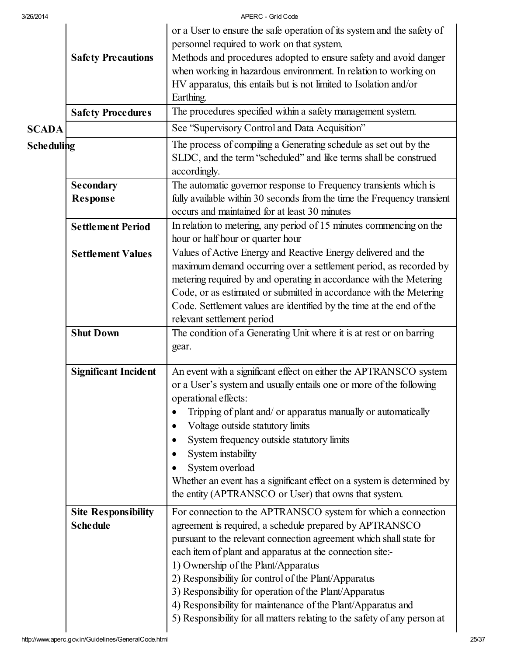| 3/26/2014         |                             | APERC - Grid Code                                                                                                                                    |
|-------------------|-----------------------------|------------------------------------------------------------------------------------------------------------------------------------------------------|
|                   |                             | or a User to ensure the safe operation of its system and the safety of                                                                               |
|                   |                             | personnel required to work on that system.                                                                                                           |
|                   | <b>Safety Precautions</b>   | Methods and procedures adopted to ensure safety and avoid danger                                                                                     |
|                   |                             | when working in hazardous environment. In relation to working on                                                                                     |
|                   |                             | HV apparatus, this entails but is not limited to Isolation and/or                                                                                    |
|                   |                             | Earthing.                                                                                                                                            |
|                   | <b>Safety Procedures</b>    | The procedures specified within a safety management system.                                                                                          |
| <b>SCADA</b>      |                             | See "Supervisory Control and Data Acquisition"                                                                                                       |
| <b>Scheduling</b> |                             | The process of compiling a Generating schedule as set out by the<br>SLDC, and the term "scheduled" and like terms shall be construed<br>accordingly. |
|                   | <b>Secondary</b>            | The automatic governor response to Frequency transients which is                                                                                     |
|                   | <b>Response</b>             | fully available within 30 seconds from the time the Frequency transient                                                                              |
|                   |                             | occurs and maintained for at least 30 minutes                                                                                                        |
|                   | <b>Settlement Period</b>    | In relation to metering, any period of 15 minutes commencing on the                                                                                  |
|                   |                             | hour or half hour or quarter hour                                                                                                                    |
|                   | <b>Settlement Values</b>    | Values of Active Energy and Reactive Energy delivered and the                                                                                        |
|                   |                             | maximum demand occurring over a settlement period, as recorded by                                                                                    |
|                   |                             | metering required by and operating in accordance with the Metering                                                                                   |
|                   |                             | Code, or as estimated or submitted in accordance with the Metering                                                                                   |
|                   |                             | Code. Settlement values are identified by the time at the end of the                                                                                 |
|                   |                             | relevant settlement period                                                                                                                           |
|                   | <b>Shut Down</b>            | The condition of a Generating Unit where it is at rest or on barring                                                                                 |
|                   |                             | gear.                                                                                                                                                |
|                   | <b>Significant Incident</b> | An event with a significant effect on either the APTRANSCO system                                                                                    |
|                   |                             | or a User's system and usually entails one or more of the following                                                                                  |
|                   |                             | operational effects:                                                                                                                                 |
|                   |                             | Tripping of plant and/ or apparatus manually or automatically                                                                                        |
|                   |                             | Voltage outside statutory limits                                                                                                                     |
|                   |                             | System frequency outside statutory limits                                                                                                            |
|                   |                             | System instability                                                                                                                                   |
|                   |                             | System overload                                                                                                                                      |
|                   |                             | Whether an event has a significant effect on a system is determined by                                                                               |
|                   |                             | the entity (APTRANSCO or User) that owns that system.                                                                                                |
|                   | <b>Site Responsibility</b>  | For connection to the APTRANSCO system for which a connection                                                                                        |
|                   | <b>Schedule</b>             | agreement is required, a schedule prepared by APTRANSCO                                                                                              |
|                   |                             | pursuant to the relevant connection agreement which shall state for                                                                                  |
|                   |                             | each item of plant and apparatus at the connection site:-                                                                                            |
|                   |                             | 1) Ownership of the Plant/Apparatus                                                                                                                  |
|                   |                             | 2) Responsibility for control of the Plant/Apparatus                                                                                                 |
|                   |                             | 3) Responsibility for operation of the Plant/Apparatus                                                                                               |
|                   |                             | 4) Responsibility for maintenance of the Plant/Apparatus and                                                                                         |
|                   |                             | 5) Responsibility for all matters relating to the safety of any person at                                                                            |
|                   |                             |                                                                                                                                                      |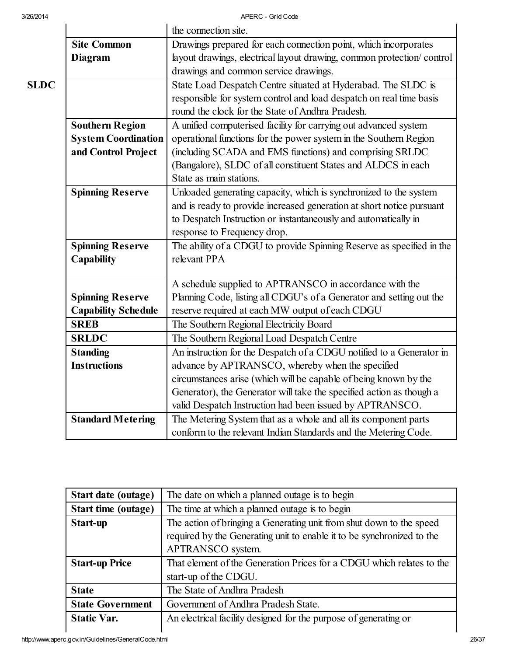|                            | the connection site.                                                  |
|----------------------------|-----------------------------------------------------------------------|
| <b>Site Common</b>         | Drawings prepared for each connection point, which incorporates       |
| Diagram                    | layout drawings, electrical layout drawing, common protection/control |
|                            | drawings and common service drawings.                                 |
|                            | State Load Despatch Centre situated at Hyderabad. The SLDC is         |
|                            | responsible for system control and load despatch on real time basis   |
|                            | round the clock for the State of Andhra Pradesh.                      |
| <b>Southern Region</b>     | A unified computerised facility for carrying out advanced system      |
| <b>System Coordination</b> | operational functions for the power system in the Southern Region     |
| and Control Project        | (including SCADA and EMS functions) and comprising SRLDC              |
|                            | (Bangalore), SLDC of all constituent States and ALDCS in each         |
|                            | State as main stations.                                               |
| <b>Spinning Reserve</b>    | Unloaded generating capacity, which is synchronized to the system     |
|                            | and is ready to provide increased generation at short notice pursuant |
|                            | to Despatch Instruction or instantaneously and automatically in       |
|                            | response to Frequency drop.                                           |
| <b>Spinning Reserve</b>    | The ability of a CDGU to provide Spinning Reserve as specified in the |
| Capability                 | relevant PPA                                                          |
|                            |                                                                       |
|                            | A schedule supplied to APTRANSCO in accordance with the               |
| <b>Spinning Reserve</b>    | Planning Code, listing all CDGU's of a Generator and setting out the  |
| <b>Capability Schedule</b> | reserve required at each MW output of each CDGU                       |
| <b>SREB</b>                | The Southern Regional Electricity Board                               |
| <b>SRLDC</b>               | The Southern Regional Load Despatch Centre                            |
| <b>Standing</b>            | An instruction for the Despatch of a CDGU notified to a Generator in  |
| <b>Instructions</b>        | advance by APTRANSCO, whereby when the specified                      |
|                            | circumstances arise (which will be capable of being known by the      |
|                            | Generator), the Generator will take the specified action as though a  |
|                            | valid Despatch Instruction had been issued by APTRANSCO.              |
| <b>Standard Metering</b>   | The Metering System that as a whole and all its component parts       |
|                            | conform to the relevant Indian Standards and the Metering Code.       |

| Start date (outage)        | The date on which a planned outage is to begin                         |
|----------------------------|------------------------------------------------------------------------|
| <b>Start time (outage)</b> | The time at which a planned outage is to begin                         |
| Start-up                   | The action of bringing a Generating unit from shut down to the speed   |
|                            | required by the Generating unit to enable it to be synchronized to the |
|                            | APTRANSCO system.                                                      |
| <b>Start-up Price</b>      | That element of the Generation Prices for a CDGU which relates to the  |
|                            | start-up of the CDGU.                                                  |
| <b>State</b>               | The State of Andhra Pradesh                                            |
| <b>State Government</b>    | Government of Andhra Pradesh State.                                    |
| <b>Static Var.</b>         | An electrical facility designed for the purpose of generating or       |
|                            |                                                                        |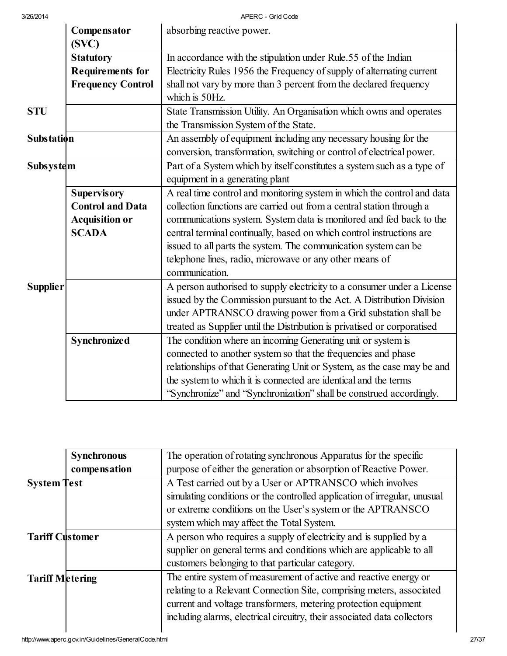|                   | Compensator<br>(SVC)     | absorbing reactive power.                                                |
|-------------------|--------------------------|--------------------------------------------------------------------------|
|                   | <b>Statutory</b>         | In accordance with the stipulation under Rule.55 of the Indian           |
|                   | <b>Requirements for</b>  | Electricity Rules 1956 the Frequency of supply of alternating current    |
|                   | <b>Frequency Control</b> | shall not vary by more than 3 percent from the declared frequency        |
|                   |                          | which is 50Hz.                                                           |
| <b>STU</b>        |                          | State Transmission Utility. An Organisation which owns and operates      |
|                   |                          | the Transmission System of the State.                                    |
| <b>Substation</b> |                          | An assembly of equipment including any necessary housing for the         |
|                   |                          | conversion, transformation, switching or control of electrical power.    |
| Subsystem         |                          | Part of a System which by itself constitutes a system such as a type of  |
|                   |                          | equipment in a generating plant                                          |
|                   | <b>Supervisory</b>       | A real time control and monitoring system in which the control and data  |
|                   | <b>Control and Data</b>  | collection functions are carried out from a central station through a    |
|                   | <b>Acquisition or</b>    | communications system. System data is monitored and fed back to the      |
|                   | <b>SCADA</b>             | central terminal continually, based on which control instructions are    |
|                   |                          | issued to all parts the system. The communication system can be          |
|                   |                          | telephone lines, radio, microwave or any other means of                  |
|                   |                          | communication.                                                           |
| <b>Supplier</b>   |                          | A person authorised to supply electricity to a consumer under a License  |
|                   |                          | issued by the Commission pursuant to the Act. A Distribution Division    |
|                   |                          | under APTRANSCO drawing power from a Grid substation shall be            |
|                   |                          | treated as Supplier until the Distribution is privatised or corporatised |
|                   | <b>Synchronized</b>      | The condition where an incoming Generating unit or system is             |
|                   |                          | connected to another system so that the frequencies and phase            |
|                   |                          | relationships of that Generating Unit or System, as the case may be and  |
|                   |                          | the system to which it is connected are identical and the terms          |
|                   |                          | "Synchronize" and "Synchronization" shall be construed accordingly.      |

|                        | <b>Synchronous</b><br>compensation | The operation of rotating synchronous Apparatus for the specific<br>purpose of either the generation or absorption of Reactive Power.                                                                                                                                                     |
|------------------------|------------------------------------|-------------------------------------------------------------------------------------------------------------------------------------------------------------------------------------------------------------------------------------------------------------------------------------------|
| <b>System Test</b>     |                                    | A Test carried out by a User or APTRANSCO which involves<br>simulating conditions or the controlled application of irregular, unusual<br>or extreme conditions on the User's system or the APTRANSCO<br>system which may affect the Total System.                                         |
| <b>Tariff Customer</b> |                                    | A person who requires a supply of electricity and is supplied by a<br>supplier on general terms and conditions which are applicable to all<br>customers belonging to that particular category.                                                                                            |
| <b>Tariff Metering</b> |                                    | The entire system of measurement of active and reactive energy or<br>relating to a Relevant Connection Site, comprising meters, associated<br>current and voltage transformers, metering protection equipment<br>including alarms, electrical circuitry, their associated data collectors |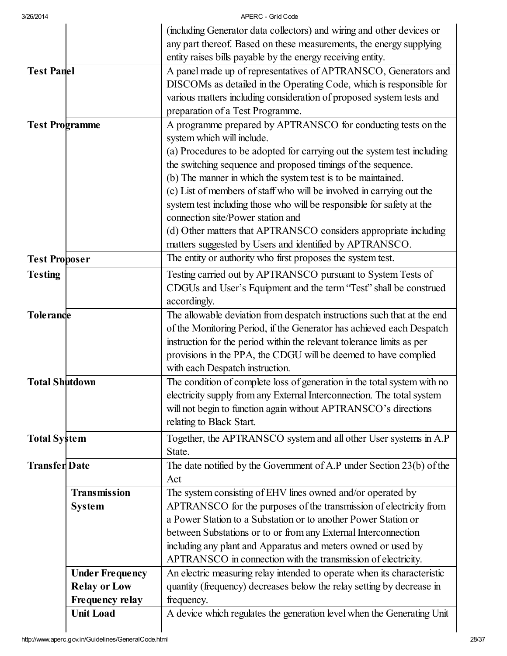| 3/26/2014             |                        | APERC - Grid Code                                                        |
|-----------------------|------------------------|--------------------------------------------------------------------------|
|                       |                        | (including Generator data collectors) and wiring and other devices or    |
|                       |                        | any part thereof. Based on these measurements, the energy supplying      |
|                       |                        | entity raises bills payable by the energy receiving entity.              |
| <b>Test Panel</b>     |                        | A panel made up of representatives of APTRANSCO, Generators and          |
|                       |                        | DISCOMs as detailed in the Operating Code, which is responsible for      |
|                       |                        | various matters including consideration of proposed system tests and     |
|                       |                        | preparation of a Test Programme.                                         |
| <b>Test Programme</b> |                        | A programme prepared by APTRANSCO for conducting tests on the            |
|                       |                        | system which will include.                                               |
|                       |                        | (a) Procedures to be adopted for carrying out the system test including  |
|                       |                        | the switching sequence and proposed timings of the sequence.             |
|                       |                        | (b) The manner in which the system test is to be maintained.             |
|                       |                        | (c) List of members of staff who will be involved in carrying out the    |
|                       |                        | system test including those who will be responsible for safety at the    |
|                       |                        | connection site/Power station and                                        |
|                       |                        | (d) Other matters that APTRANSCO considers appropriate including         |
|                       |                        | matters suggested by Users and identified by APTRANSCO.                  |
| <b>Test Proposer</b>  |                        | The entity or authority who first proposes the system test.              |
| <b>Testing</b>        |                        | Testing carried out by APTRANSCO pursuant to System Tests of             |
|                       |                        | CDGUs and User's Equipment and the term "Test" shall be construed        |
|                       |                        | accordingly.                                                             |
| <b>Tolerance</b>      |                        | The allowable deviation from despatch instructions such that at the end  |
|                       |                        | of the Monitoring Period, if the Generator has achieved each Despatch    |
|                       |                        | instruction for the period within the relevant tolerance limits as per   |
|                       |                        | provisions in the PPA, the CDGU will be deemed to have complied          |
|                       |                        | with each Despatch instruction.                                          |
| <b>Total Shutdown</b> |                        | The condition of complete loss of generation in the total system with no |
|                       |                        | electricity supply from any External Interconnection. The total system   |
|                       |                        | will not begin to function again without APTRANSCO's directions          |
|                       |                        | relating to Black Start.                                                 |
| <b>Total System</b>   |                        | Together, the APTRANSCO system and all other User systems in A.P         |
|                       |                        | State.                                                                   |
| <b>Transfer Date</b>  |                        | The date notified by the Government of A.P under Section 23(b) of the    |
|                       |                        | Act                                                                      |
|                       | <b>Transmission</b>    | The system consisting of EHV lines owned and/or operated by              |
|                       | <b>System</b>          | APTRANSCO for the purposes of the transmission of electricity from       |
|                       |                        | a Power Station to a Substation or to another Power Station or           |
|                       |                        | between Substations or to or from any External Interconnection           |
|                       |                        | including any plant and Apparatus and meters owned or used by            |
|                       |                        | APTRANSCO in connection with the transmission of electricity.            |
|                       | <b>Under Frequency</b> | An electric measuring relay intended to operate when its characteristic  |
|                       | <b>Relay or Low</b>    | quantity (frequency) decreases below the relay setting by decrease in    |
|                       | Frequency relay        | frequency.                                                               |
|                       | <b>Unit Load</b>       | A device which regulates the generation level when the Generating Unit   |
|                       |                        |                                                                          |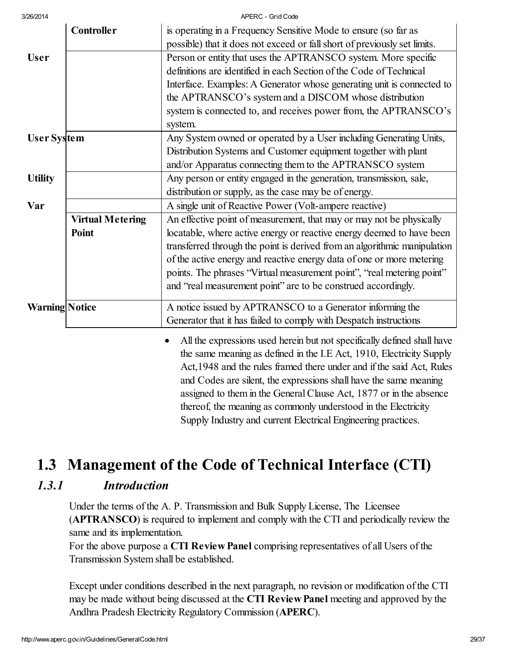|                       | <b>Controller</b>       | is operating in a Frequency Sensitive Mode to ensure (so far as           |
|-----------------------|-------------------------|---------------------------------------------------------------------------|
|                       |                         | possible) that it does not exceed or fall short of previously set limits. |
| <b>User</b>           |                         | Person or entity that uses the APTRANSCO system. More specific            |
|                       |                         | definitions are identified in each Section of the Code of Technical       |
|                       |                         | Interface. Examples: A Generator whose generating unit is connected to    |
|                       |                         | the APTRANSCO's system and a DISCOM whose distribution                    |
|                       |                         | system is connected to, and receives power from, the APTRANSCO's          |
|                       |                         | system.                                                                   |
| <b>User System</b>    |                         | Any System owned or operated by a User including Generating Units,        |
|                       |                         | Distribution Systems and Customer equipment together with plant           |
|                       |                         | and/or Apparatus connecting them to the APTRANSCO system                  |
| <b>Utility</b>        |                         | Any person or entity engaged in the generation, transmission, sale,       |
|                       |                         | distribution or supply, as the case may be of energy.                     |
| Var                   |                         | A single unit of Reactive Power (Volt-ampere reactive)                    |
|                       | <b>Virtual Metering</b> | An effective point of measurement, that may or may not be physically      |
|                       | Point                   | locatable, where active energy or reactive energy deemed to have been     |
|                       |                         | transferred through the point is derived from an algorithmic manipulation |
|                       |                         | of the active energy and reactive energy data of one or more metering     |
|                       |                         | points. The phrases "Virtual measurement point", "real metering point"    |
|                       |                         | and "real measurement point" are to be construed accordingly.             |
| <b>Warning Notice</b> |                         | A notice issued by APTRANSCO to a Generator informing the                 |
|                       |                         | Generator that it has failed to comply with Despatch instructions         |
|                       |                         | All the expressions used herein but not specifically defined shall have   |
|                       |                         | the same meaning as defined in the I.E Act, 1910, Electricity Supply      |
|                       |                         | Act, 1948 and the rules framed there under and if the said Act, Rules     |
|                       |                         | and Codes are silent, the expressions shall have the same meaning         |
|                       |                         | assigned to them in the General Clause Act, 1877 or in the absence        |
|                       |                         | thereof, the meaning as commonly understood in the Electricity            |
|                       |                         | Supply Industry and current Electrical Engineering practices.             |
|                       |                         |                                                                           |

# 1.3 Management of the Code of Technical Interface (CTI)

# *1.3.1 Introduction*

Under the terms of the A. P. Transmission and Bulk Supply License, The Licensee (APTRANSCO) is required to implement and comply with the CTI and periodically review the same and its implementation.

For the above purpose a CTI Review Panel comprising representatives of all Users of the Transmission System shall be established.

Except under conditions described in the next paragraph, no revision or modification of the CTI may be made without being discussed at the CTI Review Panel meeting and approved by the Andhra Pradesh Electricity Regulatory Commission (APERC).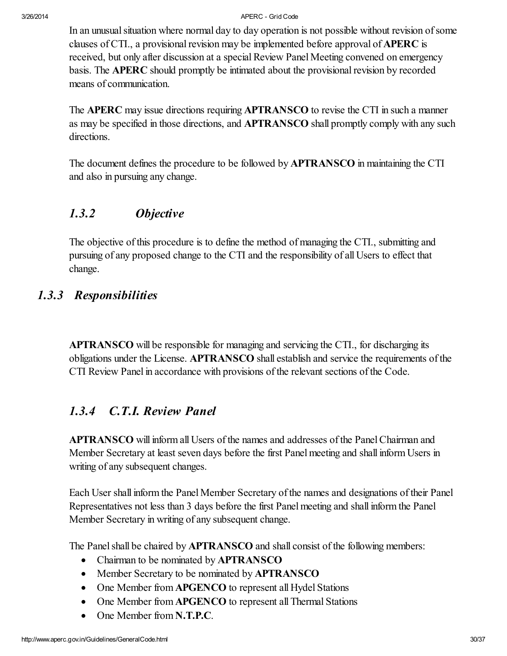In an unusual situation where normal day to day operation is not possible without revision of some clauses of CTI., a provisional revision may be implemented before approval of  $APERC$  is received, but only after discussion at a special Review Panel Meeting convened on emergency basis. The APERC should promptly be intimated about the provisional revision by recorded means of communication.

The APERC may issue directions requiring APTRANSCO to revise the CTI in such a manner as may be specified in those directions, and **APTRANSCO** shall promptly comply with any such directions.

The document defines the procedure to be followed by APTRANSCO in maintaining the CTI and also in pursuing any change.

# <span id="page-29-0"></span>*1.3.2 Objective*

The objective of this procedure is to define the method of managing the CTI., submitting and pursuing of any proposed change to the CTI and the responsibility of all Users to effect that change.

# *1.3.3 Responsibilities*

APTRANSCO will be responsible for managing and servicing the CTI., for discharging its obligations under the License. APTRANSCO shall establish and service the requirements of the CTI Review Panel in accordance with provisions of the relevant sections of the Code.

# <span id="page-29-1"></span>*1.3.4 C.T.I. Review Panel*

APTRANSCO will inform all Users of the names and addresses of the PanelChairman and Member Secretary at least seven days before the first Panel meeting and shall inform Users in writing of any subsequent changes.

Each User shall inform the Panel Member Secretary of the names and designations of their Panel Representatives not less than 3 days before the first Panel meeting and shall inform the Panel Member Secretary in writing of any subsequent change.

The Panel shall be chaired by **APTRANSCO** and shall consist of the following members:

- Chairman to be nominated by **APTRANSCO**
- Member Secretary to be nominated by **APTRANSCO**
- One Member from APGENCO to represent all Hydel Stations
- One Member from APGENCO to represent all Thermal Stations
- One Member from **N.T.P.C**.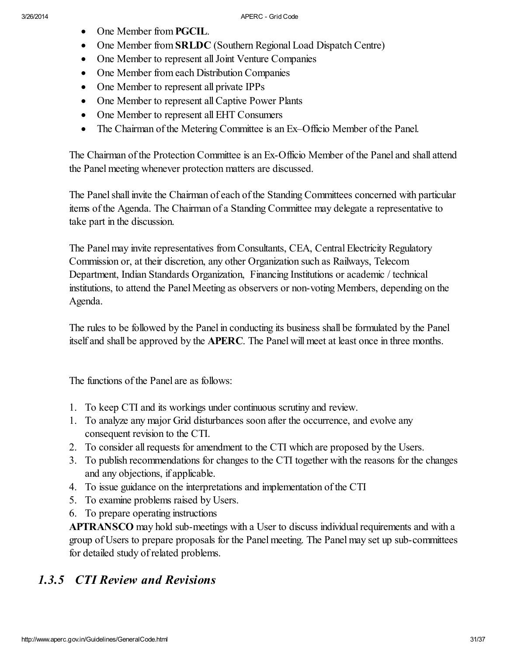- One Member from **PGCIL**.
- One Member from **SRLDC** (Southern Regional Load Dispatch Centre)
- One Member to represent all Joint Venture Companies
- One Member from each Distribution Companies
- One Member to represent all private IPPs
- One Member to represent all Captive Power Plants
- One Member to represent all EHT Consumers
- The Chairman of the Metering Committee is an Ex–Officio Member of the Panel.

The Chairman of the Protection Committee is an Ex-Officio Member of the Panel and shall attend the Panel meeting whenever protection matters are discussed.

The Panel shall invite the Chairman of each of the Standing Committees concerned with particular items of the Agenda. The Chairman of a Standing Committee may delegate a representative to take part in the discussion.

The Panel may invite representatives from Consultants, CEA, Central Electricity Regulatory Commission or, at their discretion, any other Organization such as Railways, Telecom Department, Indian Standards Organization, Financing Institutions or academic / technical institutions, to attend the Panel Meeting as observers or non-voting Members, depending on the Agenda.

The rules to be followed by the Panel in conducting its business shall be formulated by the Panel itself and shall be approved by the APERC. The Panel will meet at least once in three months.

The functions of the Panel are as follows:

- 1. To keep CTI and its workings under continuous scrutiny and review.
- 1. To analyze any major Grid disturbances soon after the occurrence, and evolve any consequent revision to the CTI.
- 2. To consider allrequests for amendment to the CTI which are proposed by the Users.
- 3. To publish recommendations for changes to the CTI together with the reasons for the changes and any objections, if applicable.
- 4. To issue guidance on the interpretations and implementation of the CTI
- 5. To examine problems raised by Users.
- 6. To prepare operating instructions

APTRANSCO may hold sub-meetings with a User to discuss individual requirements and with a group of Users to prepare proposals for the Panel meeting. The Panel may set up sub-committees for detailed study of related problems.

# *1.3.5 CTI Review and Revisions*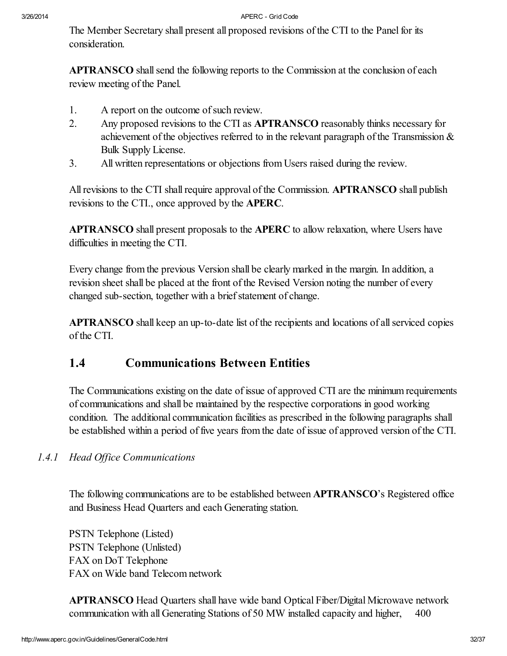The Member Secretary shall present all proposed revisions of the CTI to the Panelfor its consideration.

APTRANSCO shall send the following reports to the Commission at the conclusion of each review meeting of the Panel.

- 1. A report on the outcome of such review.
- 2. Any proposed revisions to the CTI as **APTRANSCO** reasonably thinks necessary for achievement of the objectives referred to in the relevant paragraph of the Transmission & Bulk Supply License.
- 3. All written representations or objections from Users raised during the review.

All revisions to the CTI shall require approval of the Commission. APTRANSCO shall publish revisions to the CTI., once approved by the APERC.

APTRANSCO shall present proposals to the APERC to allow relaxation, where Users have difficulties in meeting the CTI.

Every change from the previous Version shall be clearly marked in the margin. In addition, a revision sheet shall be placed at the front of the Revised Version noting the number of every changed sub-section, together with a brief statement of change.

APTRANSCO shall keep an up-to-date list of the recipients and locations of all serviced copies of the CTI.

# <span id="page-31-0"></span>1.4 Communications Between Entities

The Communications existing on the date of issue of approved CTI are the minimum requirements of communications and shall be maintained by the respective corporations in good working condition. The additional communication facilities as prescribed in the following paragraphs shall be established within a period of five years from the date of issue of approved version of the CTI.

### *1.4.1 Head Office Communications*

The following communications are to be established between APTRANSCO's Registered office and Business Head Quarters and each Generating station.

PSTN Telephone (Listed) PSTN Telephone (Unlisted) FAX on DoT Telephone FAX on Wide band Telecom network

APTRANSCO Head Quarters shall have wide band Optical Fiber/Digital Microwave network communication with all Generating Stations of 50 MW installed capacity and higher, 400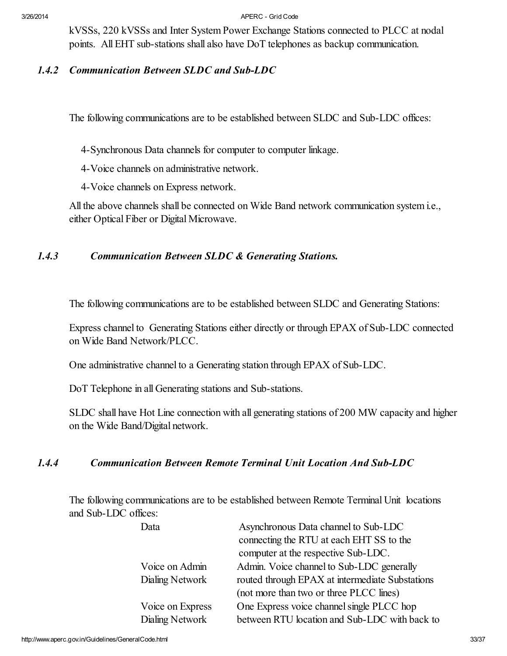kVSSs, 220 kVSSs and Inter System Power Exchange Stations connected to PLCC at nodal points. All EHT sub-stations shall also have DoT telephones as backup communication.

#### *1.4.2 Communication Between SLDC and Sub-LDC*

The following communications are to be established between SLDC and Sub-LDC offices:

4-Synchronous Data channels for computer to computer linkage.

4-Voice channels on administrative network.

4-Voice channels on Express network.

All the above channels shall be connected on Wide Band network communication system i.e., either Optical Fiber or Digital Microwave.

#### *1.4.3 Communication Between SLDC & Generating Stations.*

The following communications are to be established between SLDC and Generating Stations:

Express channel to Generating Stations either directly or through EPAX of Sub-LDC connected on Wide Band Network/PLCC.

One administrative channel to a Generating station through EPAX of Sub-LDC.

DoT Telephone in all Generating stations and Sub-stations.

SLDC shall have Hot Line connection with all generating stations of 200 MW capacity and higher on the Wide Band/Digital network.

#### *1.4.4 Communication Between Remote Terminal Unit Location And Sub-LDC*

The following communications are to be established between Remote Terminal Unit locations and Sub-LDC offices:

| Data             | Asynchronous Data channel to Sub-LDC<br>connecting the RTU at each EHT SS to the |
|------------------|----------------------------------------------------------------------------------|
|                  | computer at the respective Sub-LDC.                                              |
| Voice on Admin   | Admin. Voice channel to Sub-LDC generally                                        |
| Dialing Network  | routed through EPAX at intermediate Substations                                  |
|                  | (not more than two or three PLCC lines)                                          |
| Voice on Express | One Express voice channel single PLCC hop                                        |
| Dialing Network  | between RTU location and Sub-LDC with back to                                    |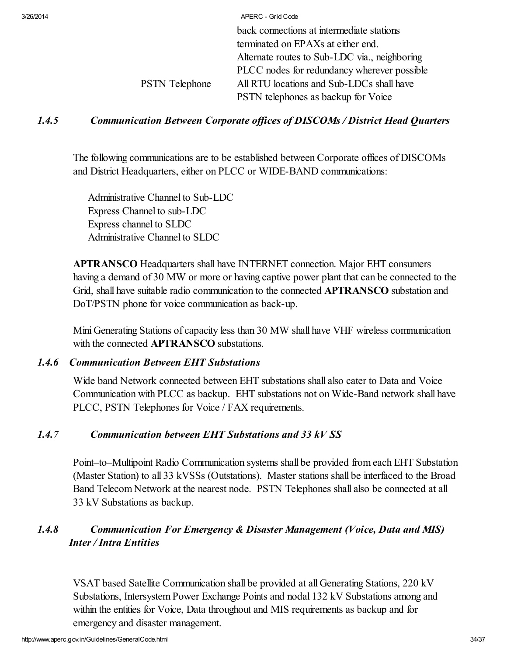back connections at intermediate stations terminated on EPAXs at either end. Alternate routes to Sub-LDC via., neighboring PLCC nodes for redundancy wherever possible PSTN Telephone AllRTU locations and Sub-LDCs shall have PSTN telephones as backup for Voice

#### *1.4.5 Communication Between Corporate of ices of DISCOMs / District Head Quarters*

The following communications are to be established between Corporate offices of DISCOMs and District Headquarters, either on PLCC or WIDE-BAND communications:

Administrative Channel to Sub-LDC Express Channel to sub-LDC Express channel to SLDC Administrative Channel to SLDC

**APTRANSCO** Headquarters shall have INTERNET connection. Major EHT consumers having a demand of 30 MW or more or having captive power plant that can be connected to the Grid, shall have suitable radio communication to the connected APTRANSCO substation and DoT/PSTN phone for voice communication as back-up.

Mini Generating Stations of capacity less than 30 MW shall have VHF wireless communication with the connected **APTRANSCO** substations.

#### *1.4.6 Communication Between EHT Substations*

Wide band Network connected between EHT substations shall also cater to Data and Voice Communication with PLCC as backup. EHT substations not on Wide-Band network shall have PLCC, PSTN Telephones for Voice / FAX requirements.

#### *1.4.7 Communication between EHT Substations and 33 kV SS*

Point–to–Multipoint Radio Communication systems shall be provided from each EHT Substation (Master Station) to all 33 kVSSs (Outstations). Master stations shall be interfaced to the Broad Band Telecom Network at the nearest node. PSTN Telephones shall also be connected at all 33 kV Substations as backup.

#### *1.4.8 Communication For Emergency & Disaster Management (Voice, Data and MIS) Inter / Intra Entities*

VSAT based Satellite Communication shall be provided at all Generating Stations, 220 kV Substations, Intersystem Power Exchange Points and nodal 132 kV Substations among and within the entities for Voice, Data throughout and MIS requirements as backup and for emergency and disaster management.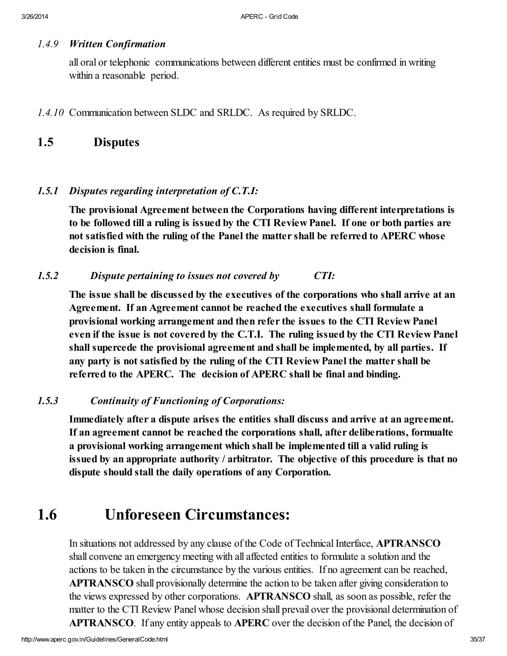#### *1.4.9 Written Confirmation*

all oral or telephonic communications between different entities must be confirmed in writing within a reasonable period.

*1.4.10* Communication between SLDC and SRLDC. As required by SRLDC.

#### 1.5 Disputes

#### *1.5.1 Disputes regarding interpretation of C.T.I:*

The provisional Agreement between the Corporations having different interpretations is to be followed till a ruling is issued by the CTI Review Panel. If one or both parties are not satisfied with the ruling of the Panel the matter shall be referred to APERC whose decision is final.

#### *1.5.2 Dispute pertaining to issues not covered by CTI:*

The issue shall be discussed by the executives of the corporations who shall arrive at an Agreement. If an Agreement cannot be reached the executives shall formulate a provisional working arrangement and then refer the issues to the CTI Review Panel even if the issue is not covered by the C.T.I. The ruling issued by the CTI Review Panel shall supercede the provisional agreement and shall be implemented, by all parties. If any party is not satisfied by the ruling of the CTI Review Panel the matter shall be referred to the APERC. The decision of APERC shall be final and binding.

#### *1.5.3 Continuity of Functioning of Corporations:*

Immediately after a dispute arises the entities shall discuss and arrive at an agreement. If an agreement cannot be reached the corporations shall, after deliberations, formualte a provisional working arrangement which shall be implemented till a valid ruling is issued by an appropriate authority / arbitrator. The objective of this procedure is that no dispute should stall the daily operations of any Corporation.

# 1.6 Unforeseen Circumstances:

In situations not addressed by any clause of the Code of Technical Interface, APTRANSCO shall convene an emergency meeting with all affected entities to formulate a solution and the actions to be taken in the circumstance by the various entities. If no agreement can be reached, APTRANSCO shall provisionally determine the action to be taken after giving consideration to the views expressed by other corporations. APTRANSCO shall, as soon as possible, refer the matter to the CTI Review Panel whose decision shall prevail over the provisional determination of APTRANSCO. If any entity appeals to APERC over the decision of the Panel, the decision of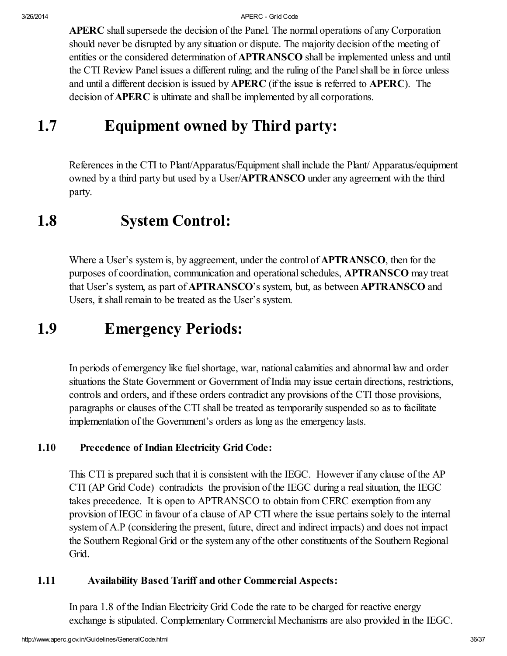APERC shall supersede the decision of the Panel. The normal operations of any Corporation should never be disrupted by any situation or dispute. The majority decision of the meeting of entities or the considered determination of APTRANSCO shall be implemented unless and until the CTI Review Panel issues a different ruling; and the ruling of the Panel shall be in force unless and until a different decision is issued by APERC (if the issue is referred to APERC). The decision of APERC is ultimate and shall be implemented by all corporations.

# 1.7 Equipment owned by Third party:

References in the CTI to Plant/Apparatus/Equipment shall include the Plant/ Apparatus/equipment owned by a third party but used by a User/APTRANSCO under any agreement with the third party.

# 1.8 System Control:

Where a User's system is, by aggreement, under the control of **APTRANSCO**, then for the purposes of coordination, communication and operational schedules, APTRANSCO may treat that User's system, as part of APTRANSCO's system, but, as between APTRANSCO and Users, it shall remain to be treated as the User's system.

# 1.9 Emergency Periods:

In periods of emergency like fuel shortage, war, national calamities and abnormal law and order situations the State Government or Government of India may issue certain directions, restrictions, controls and orders, and if these orders contradict any provisions of the CTI those provisions, paragraphs or clauses of the CTI shall be treated as temporarily suspended so as to facilitate implementation of the Government's orders as long as the emergency lasts.

# 1.10 Precedence of Indian Electricity Grid Code:

This CTI is prepared such that it is consistent with the IEGC. However if any clause of the AP CTI (AP Grid Code) contradicts the provision of the IEGC during a realsituation, the IEGC takes precedence. It is open to APTRANSCO to obtain from CERC exemption from any provision of IEGC in favour of a clause of AP CTI where the issue pertains solely to the internal system of A.P (considering the present, future, direct and indirect impacts) and does not impact the Southern Regional Grid or the system any of the other constituents of the Southern Regional Grid.

### 1.11 Availability Based Tariff and other Commercial Aspects:

In para 1.8 of the Indian Electricity Grid Code the rate to be charged for reactive energy exchange is stipulated. Complementary Commercial Mechanisms are also provided in the IEGC.